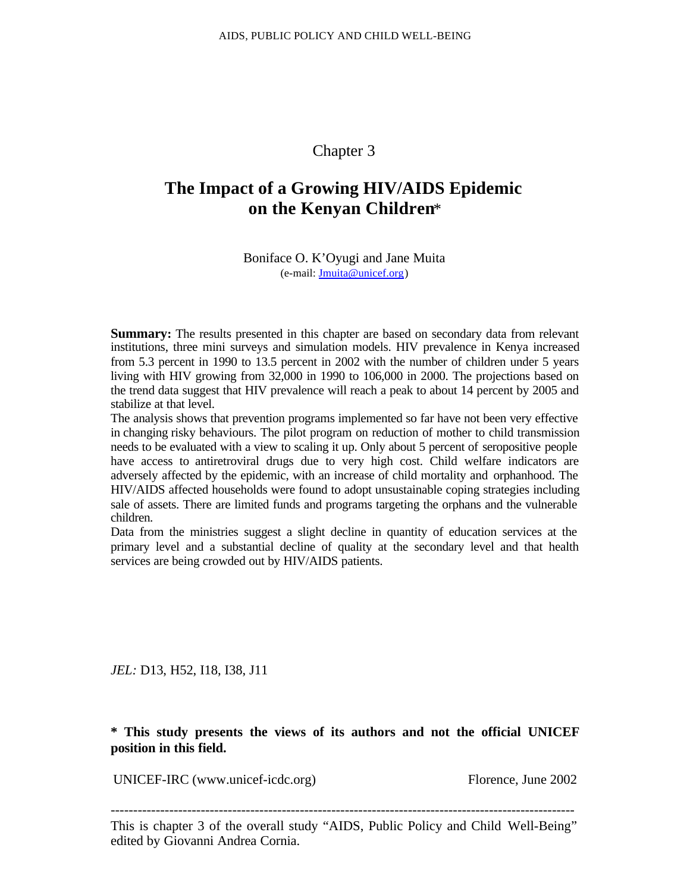# Chapter 3

# **The Impact of a Growing HIV/AIDS Epidemic on the Kenyan Children**\*

Boniface O. K'Oyugi and Jane Muita (e-mail: Jmuita@unicef.org)

**Summary:** The results presented in this chapter are based on secondary data from relevant institutions, three mini surveys and simulation models. HIV prevalence in Kenya increased from 5.3 percent in 1990 to 13.5 percent in 2002 with the number of children under 5 years living with HIV growing from 32,000 in 1990 to 106,000 in 2000. The projections based on the trend data suggest that HIV prevalence will reach a peak to about 14 percent by 2005 and stabilize at that level.

The analysis shows that prevention programs implemented so far have not been very effective in changing risky behaviours. The pilot program on reduction of mother to child transmission needs to be evaluated with a view to scaling it up. Only about 5 percent of seropositive people have access to antiretroviral drugs due to very high cost. Child welfare indicators are adversely affected by the epidemic, with an increase of child mortality and orphanhood. The HIV/AIDS affected households were found to adopt unsustainable coping strategies including sale of assets. There are limited funds and programs targeting the orphans and the vulnerable children.

Data from the ministries suggest a slight decline in quantity of education services at the primary level and a substantial decline of quality at the secondary level and that health services are being crowded out by HIV/AIDS patients.

*JEL:* D13, H52, I18, I38, J11

**\* This study presents the views of its authors and not the official UNICEF position in this field.**

UNICEF-IRC (www.unicef-icdc.org) Florence, June 2002

-------------------------------------------------------------------------------------------------------

This is chapter 3 of the overall study "AIDS, Public Policy and Child Well-Being" edited by Giovanni Andrea Cornia.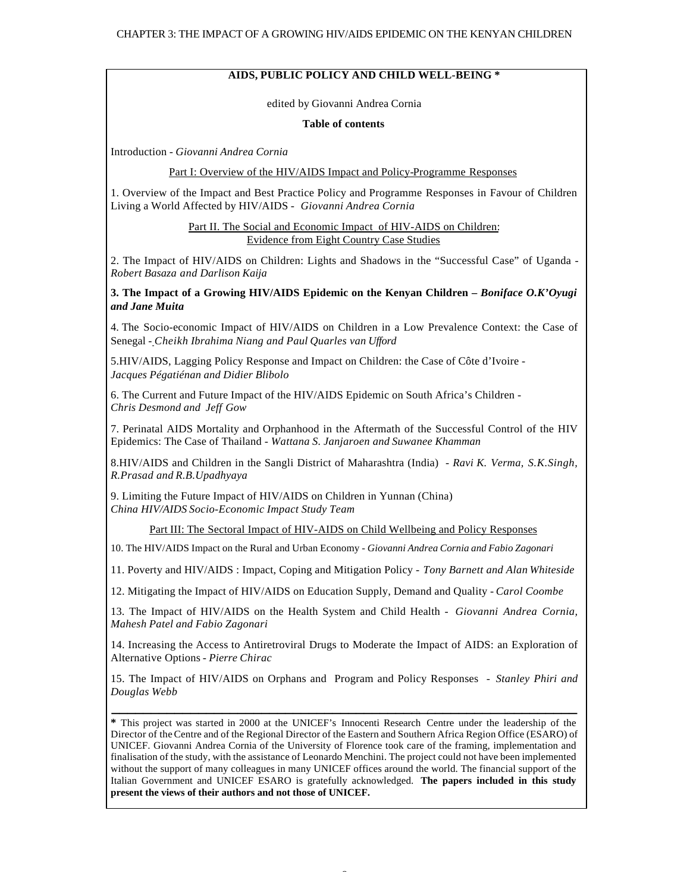#### **AIDS, PUBLIC POLICY AND CHILD WELL-BEING \***

edited by Giovanni Andrea Cornia

#### **Table of contents**

Introduction - *Giovanni Andrea Cornia*

#### Part I: Overview of the HIV/AIDS Impact and Policy-Programme Responses

1. Overview of the Impact and Best Practice Policy and Programme Responses in Favour of Children Living a World Affected by HIV/AIDS - *Giovanni Andrea Cornia*

> Part II. The Social and Economic Impact of HIV-AIDS on Children: Evidence from Eight Country Case Studies

2. The Impact of HIV/AIDS on Children: Lights and Shadows in the "Successful Case" of Uganda - *Robert Basaza and Darlison Kaija*

**3. The Impact of a Growing HIV/AIDS Epidemic on the Kenyan Children –** *Boniface O.K'Oyugi and Jane Muita*

4. The Socio-economic Impact of HIV/AIDS on Children in a Low Prevalence Context: the Case of Senegal - *Cheikh Ibrahima Niang and Paul Quarles van Ufford*

5.HIV/AIDS, Lagging Policy Response and Impact on Children: the Case of Côte d'Ivoire - *Jacques Pégatiénan and Didier Blibolo*

6. The Current and Future Impact of the HIV/AIDS Epidemic on South Africa's Children - *Chris Desmond and Jeff Gow*

7. Perinatal AIDS Mortality and Orphanhood in the Aftermath of the Successful Control of the HIV Epidemics: The Case of Thailand - *Wattana S. Janjaroen and Suwanee Khamman*

8.HIV/AIDS and Children in the Sangli District of Maharashtra (India) - *Ravi K. Verma, S.K.Singh, R.Prasad and R.B.Upadhyaya*

9. Limiting the Future Impact of HIV/AIDS on Children in Yunnan (China) *China HIV/AIDS Socio-Economic Impact Study Team*

Part III: The Sectoral Impact of HIV-AIDS on Child Wellbeing and Policy Responses

10. The HIV/AIDS Impact on the Rural and Urban Economy - *Giovanni Andrea Cornia and Fabio Zagonari*

11. Poverty and HIV/AIDS : Impact, Coping and Mitigation Policy - *Tony Barnett and Alan Whiteside*

12. Mitigating the Impact of HIV/AIDS on Education Supply, Demand and Quality - *Carol Coombe*

13. The Impact of HIV/AIDS on the Health System and Child Health - *Giovanni Andrea Cornia, Mahesh Patel and Fabio Zagonari*

14. Increasing the Access to Antiretroviral Drugs to Moderate the Impact of AIDS: an Exploration of Alternative Options *- Pierre Chirac*

15. The Impact of HIV/AIDS on Orphans and Program and Policy Responses - *Stanley Phiri and Douglas Webb*

**\_\_\_\_\_\_\_\_\_\_\_\_\_\_\_\_\_\_\_\_\_\_\_\_\_\_\_\_\_\_\_\_\_\_\_\_\_\_\_\_\_\_\_\_\_\_\_\_\_\_\_\_\_\_\_\_\_\_\_**

**\*** This project was started in 2000 at the UNICEF's Innocenti Research Centre under the leadership of the Director of the Centre and of the Regional Director of the Eastern and Southern Africa Region Office (ESARO) of UNICEF. Giovanni Andrea Cornia of the University of Florence took care of the framing, implementation and finalisation of the study, with the assistance of Leonardo Menchini. The project could not have been implemented without the support of many colleagues in many UNICEF offices around the world. The financial support of the Italian Government and UNICEF ESARO is gratefully acknowledged. **The papers included in this study present the views of their authors and not those of UNICEF.**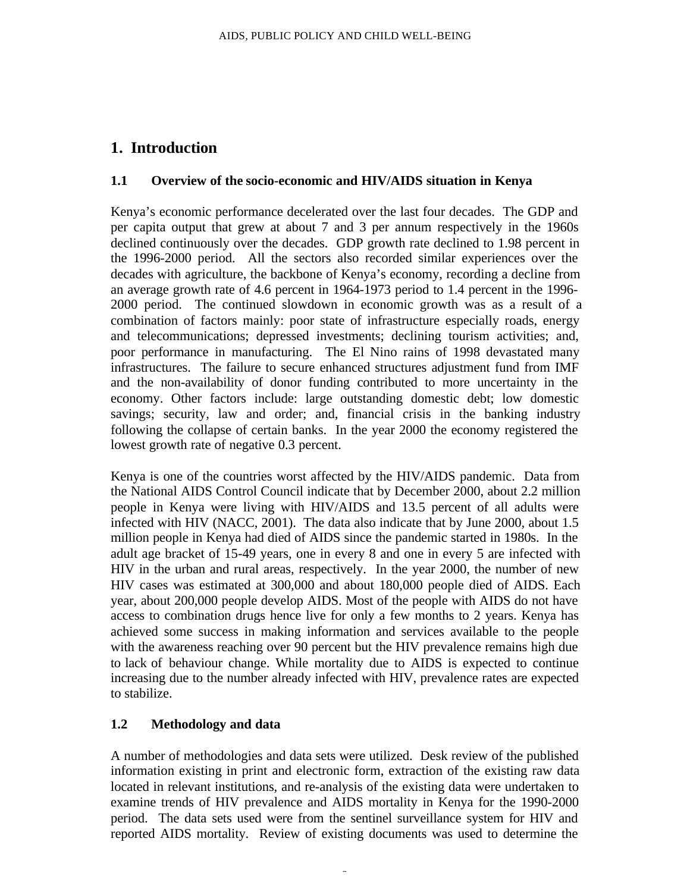# **1. Introduction**

#### **1.1 Overview of the socio-economic and HIV/AIDS situation in Kenya**

Kenya's economic performance decelerated over the last four decades. The GDP and per capita output that grew at about 7 and 3 per annum respectively in the 1960s declined continuously over the decades. GDP growth rate declined to 1.98 percent in the 1996-2000 period. All the sectors also recorded similar experiences over the decades with agriculture, the backbone of Kenya's economy, recording a decline from an average growth rate of 4.6 percent in 1964-1973 period to 1.4 percent in the 1996- 2000 period. The continued slowdown in economic growth was as a result of a combination of factors mainly: poor state of infrastructure especially roads, energy and telecommunications; depressed investments; declining tourism activities; and, poor performance in manufacturing. The El Nino rains of 1998 devastated many infrastructures. The failure to secure enhanced structures adjustment fund from IMF and the non-availability of donor funding contributed to more uncertainty in the economy. Other factors include: large outstanding domestic debt; low domestic savings; security, law and order; and, financial crisis in the banking industry following the collapse of certain banks. In the year 2000 the economy registered the lowest growth rate of negative 0.3 percent.

Kenya is one of the countries worst affected by the HIV/AIDS pandemic. Data from the National AIDS Control Council indicate that by December 2000, about 2.2 million people in Kenya were living with HIV/AIDS and 13.5 percent of all adults were infected with HIV (NACC, 2001). The data also indicate that by June 2000, about 1.5 million people in Kenya had died of AIDS since the pandemic started in 1980s. In the adult age bracket of 15-49 years, one in every 8 and one in every 5 are infected with HIV in the urban and rural areas, respectively. In the year 2000, the number of new HIV cases was estimated at 300,000 and about 180,000 people died of AIDS. Each year, about 200,000 people develop AIDS. Most of the people with AIDS do not have access to combination drugs hence live for only a few months to 2 years. Kenya has achieved some success in making information and services available to the people with the awareness reaching over 90 percent but the HIV prevalence remains high due to lack of behaviour change. While mortality due to AIDS is expected to continue increasing due to the number already infected with HIV, prevalence rates are expected to stabilize.

## **1.2 Methodology and data**

A number of methodologies and data sets were utilized. Desk review of the published information existing in print and electronic form, extraction of the existing raw data located in relevant institutions, and re-analysis of the existing data were undertaken to examine trends of HIV prevalence and AIDS mortality in Kenya for the 1990-2000 period. The data sets used were from the sentinel surveillance system for HIV and reported AIDS mortality. Review of existing documents was used to determine the

Î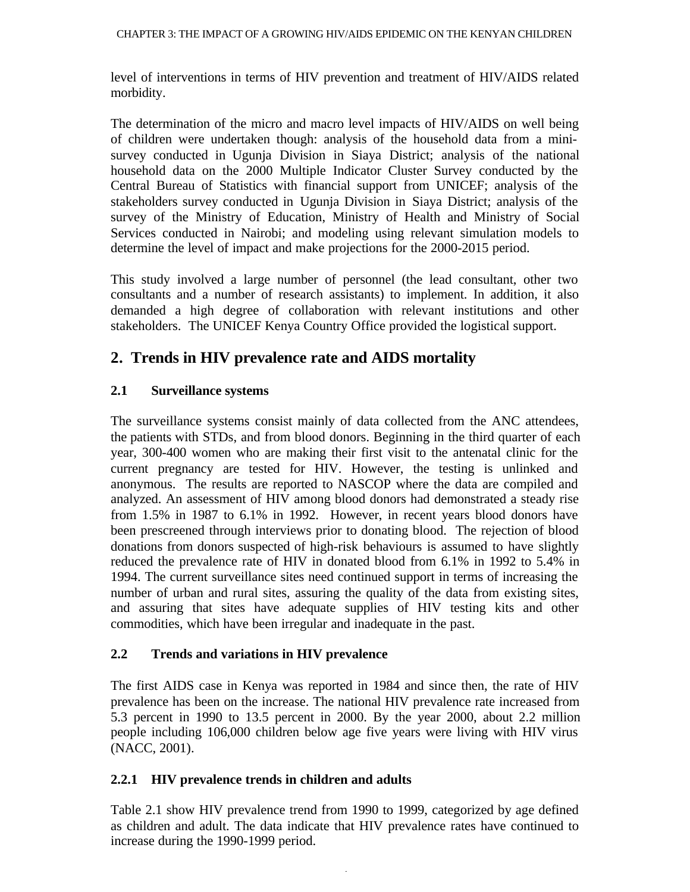level of interventions in terms of HIV prevention and treatment of HIV/AIDS related morbidity.

The determination of the micro and macro level impacts of HIV/AIDS on well being of children were undertaken though: analysis of the household data from a minisurvey conducted in Ugunja Division in Siaya District; analysis of the national household data on the 2000 Multiple Indicator Cluster Survey conducted by the Central Bureau of Statistics with financial support from UNICEF; analysis of the stakeholders survey conducted in Ugunja Division in Siaya District; analysis of the survey of the Ministry of Education, Ministry of Health and Ministry of Social Services conducted in Nairobi; and modeling using relevant simulation models to determine the level of impact and make projections for the 2000-2015 period.

This study involved a large number of personnel (the lead consultant, other two consultants and a number of research assistants) to implement. In addition, it also demanded a high degree of collaboration with relevant institutions and other stakeholders. The UNICEF Kenya Country Office provided the logistical support.

# **2. Trends in HIV prevalence rate and AIDS mortality**

## **2.1 Surveillance systems**

The surveillance systems consist mainly of data collected from the ANC attendees, the patients with STDs, and from blood donors. Beginning in the third quarter of each year, 300-400 women who are making their first visit to the antenatal clinic for the current pregnancy are tested for HIV. However, the testing is unlinked and anonymous. The results are reported to NASCOP where the data are compiled and analyzed. An assessment of HIV among blood donors had demonstrated a steady rise from 1.5% in 1987 to 6.1% in 1992. However, in recent years blood donors have been prescreened through interviews prior to donating blood. The rejection of blood donations from donors suspected of high-risk behaviours is assumed to have slightly reduced the prevalence rate of HIV in donated blood from 6.1% in 1992 to 5.4% in 1994. The current surveillance sites need continued support in terms of increasing the number of urban and rural sites, assuring the quality of the data from existing sites, and assuring that sites have adequate supplies of HIV testing kits and other commodities, which have been irregular and inadequate in the past.

## **2.2 Trends and variations in HIV prevalence**

The first AIDS case in Kenya was reported in 1984 and since then, the rate of HIV prevalence has been on the increase. The national HIV prevalence rate increased from 5.3 percent in 1990 to 13.5 percent in 2000. By the year 2000, about 2.2 million people including 106,000 children below age five years were living with HIV virus (NACC, 2001).

## **2.2.1 HIV prevalence trends in children and adults**

Table 2.1 show HIV prevalence trend from 1990 to 1999, categorized by age defined as children and adult. The data indicate that HIV prevalence rates have continued to increase during the 1990-1999 period.

4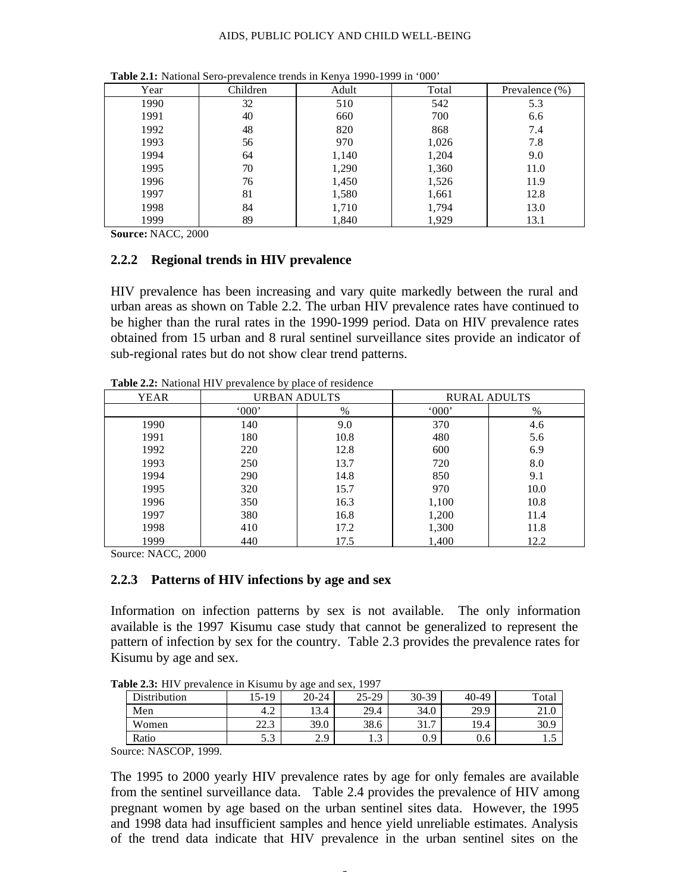#### AIDS, PUBLIC POLICY AND CHILD WELL-BEING

| Year | Children | Adult | Total | Prevalence $(\%)$ |
|------|----------|-------|-------|-------------------|
| 1990 | 32       | 510   | 542   | 5.3               |
| 1991 | 40       | 660   | 700   | 6.6               |
| 1992 | 48       | 820   | 868   | 7.4               |
| 1993 | 56       | 970   | 1,026 | 7.8               |
| 1994 | 64       | 1,140 | 1,204 | 9.0               |
| 1995 | 70       | 1,290 | 1,360 | 11.0              |
| 1996 | 76       | 1,450 | 1,526 | 11.9              |
| 1997 | 81       | 1,580 | 1,661 | 12.8              |
| 1998 | 84       | 1,710 | 1,794 | 13.0              |
| 1999 | 89       | 1,840 | 1,929 | 13.1              |

**Table 2.1:** National Sero-prevalence trends in Kenya 1990-1999 in '000'

**Source:** NACC, 2000

#### **2.2.2 Regional trends in HIV prevalence**

HIV prevalence has been increasing and vary quite markedly between the rural and urban areas as shown on Table 2.2. The urban HIV prevalence rates have continued to be higher than the rural rates in the 1990-1999 period. Data on HIV prevalence rates obtained from 15 urban and 8 rural sentinel surveillance sites provide an indicator of sub-regional rates but do not show clear trend patterns.

| YEAR | URBAN ADULTS |      | <b>RURAL ADULTS</b> |      |
|------|--------------|------|---------------------|------|
|      | 000          | %    | 000                 | %    |
| 1990 | 140          | 9.0  | 370                 | 4.6  |
| 1991 | 180          | 10.8 | 480                 | 5.6  |
| 1992 | 220          | 12.8 | 600                 | 6.9  |
| 1993 | 250          | 13.7 | 720                 | 8.0  |
| 1994 | 290          | 14.8 | 850                 | 9.1  |
| 1995 | 320          | 15.7 | 970                 | 10.0 |
| 1996 | 350          | 16.3 | 1,100               | 10.8 |
| 1997 | 380          | 16.8 | 1,200               | 11.4 |
| 1998 | 410          | 17.2 | 1,300               | 11.8 |
| 1999 | 440          | 17.5 | 1,400               | 12.2 |

**Table 2.2:** National HIV prevalence by place of residence

Source: NACC, 2000

#### **2.2.3 Patterns of HIV infections by age and sex**

Information on infection patterns by sex is not available. The only information available is the 1997 Kisumu case study that cannot be generalized to represent the pattern of infection by sex for the country. Table 2.3 provides the prevalence rates for Kisumu by age and sex.

| able $2.3$ . They be algebra in Kisamu Dy<br>$\alpha \leq C$ and $\delta C \wedge$ , $1/J/I$ |              |             |                |                   |         |       |  |  |
|----------------------------------------------------------------------------------------------|--------------|-------------|----------------|-------------------|---------|-------|--|--|
| Distribution                                                                                 | $-5-19$      | $20 - 24$   | $25 - 29$      | $30-39$           | $40-49$ | Total |  |  |
| Men                                                                                          | 4.Z          | 13.4        | 29.4           | 34.0              | 29.9    | 21.0  |  |  |
| Women                                                                                        | າາ າ<br>44.J | 39.0        | 38.6           | $21 -$<br>، ، 1 ب | 19.4    | 30.9  |  |  |
| Ratio                                                                                        | ن ر          | າ ດ<br>2. 2 | $\sim$<br>ر. . | 0.9               | 0.6     | 1.J   |  |  |

**Table 2.3:** HIV prevalence in Kisumu by age and sex, 1997

Source: NASCOP, 1999.

The 1995 to 2000 yearly HIV prevalence rates by age for only females are available from the sentinel surveillance data. Table 2.4 provides the prevalence of HIV among pregnant women by age based on the urban sentinel sites data. However, the 1995 and 1998 data had insufficient samples and hence yield unreliable estimates. Analysis of the trend data indicate that HIV prevalence in the urban sentinel sites on the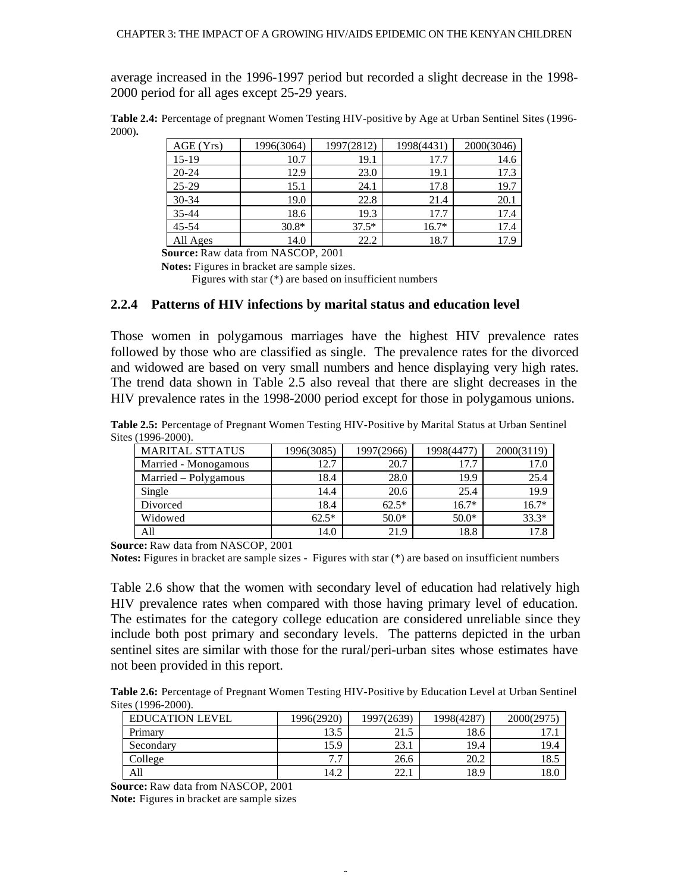average increased in the 1996-1997 period but recorded a slight decrease in the 1998- 2000 period for all ages except 25-29 years.

**Table 2.4:** Percentage of pregnant Women Testing HIV-positive by Age at Urban Sentinel Sites (1996- 2000)**.**

| AGE(Yrs)  | 1996(3064) | 1997(2812) | 1998(4431) | 2000(3046) |
|-----------|------------|------------|------------|------------|
| $15-19$   | 10.7       | 19.1       | 17.7       | 14.6       |
| $20 - 24$ | 12.9       | 23.0       | 19.1       | 17.3       |
| $25-29$   | 15.1       | 24.1       | 17.8       | 19.7       |
| 30-34     | 19.0       | 22.8       | 21.4       | 20.1       |
| $35 - 44$ | 18.6       | 19.3       | 17.7       | 17.4       |
| $45 - 54$ | $30.8*$    | $37.5*$    | $16.7*$    | 17.4       |
| All Ages  | 14.0       | 22.2       | 18.7       | 17.9       |

**Source:** Raw data from NASCOP, 2001

**Notes:** Figures in bracket are sample sizes.

Figures with star (\*) are based on insufficient numbers

#### **2.2.4 Patterns of HIV infections by marital status and education level**

Those women in polygamous marriages have the highest HIV prevalence rates followed by those who are classified as single. The prevalence rates for the divorced and widowed are based on very small numbers and hence displaying very high rates. The trend data shown in Table 2.5 also reveal that there are slight decreases in the HIV prevalence rates in the 1998-2000 period except for those in polygamous unions.

**Table 2.5:** Percentage of Pregnant Women Testing HIV-Positive by Marital Status at Urban Sentinel Sites (1996-2000).

| <b>MARITAL STTATUS</b> | 1996(3085) | 1997(2966) | 1998(4477) | 2000(3119) |
|------------------------|------------|------------|------------|------------|
| Married - Monogamous   | 12.7       | 20.7       | 17.7       | 17.0       |
| Married - Polygamous   | 18.4       | 28.0       | 19.9       | 25.4       |
| Single                 | 14.4       | 20.6       | 25.4       | 19.9       |
| Divorced               | 18.4       | $62.5*$    | $16.7*$    | $16.7*$    |
| Widowed                | $62.5*$    | $50.0*$    | $50.0*$    | $33.3*$    |
| All                    | 14.0       | 21.9       | 18.8       |            |

**Source:** Raw data from NASCOP, 2001

**Notes:** Figures in bracket are sample sizes - Figures with star (\*) are based on insufficient numbers

Table 2.6 show that the women with secondary level of education had relatively high HIV prevalence rates when compared with those having primary level of education. The estimates for the category college education are considered unreliable since they include both post primary and secondary levels. The patterns depicted in the urban sentinel sites are similar with those for the rural/peri-urban sites whose estimates have not been provided in this report.

**Table 2.6:** Percentage of Pregnant Women Testing HIV-Positive by Education Level at Urban Sentinel Sites (1996-2000).

| <b>EDUCATION LEVEL</b> | 1996(2920)                    | 1997(2639) | 1998(4287) | 2000(2975) |
|------------------------|-------------------------------|------------|------------|------------|
| Primary                | 13.5                          | 21.5       | 18.6       | 11.1       |
| Secondary              | 15.9                          | 23.1       | 19.4       | 19.4       |
| College                | $\overline{ }$ $\overline{ }$ | 26.6       | 20.2       | 18.5       |
| All                    | 14.2                          | 22.1       | 18.9       | 18.0       |

6

**Source:** Raw data from NASCOP, 2001 **Note:** Figures in bracket are sample sizes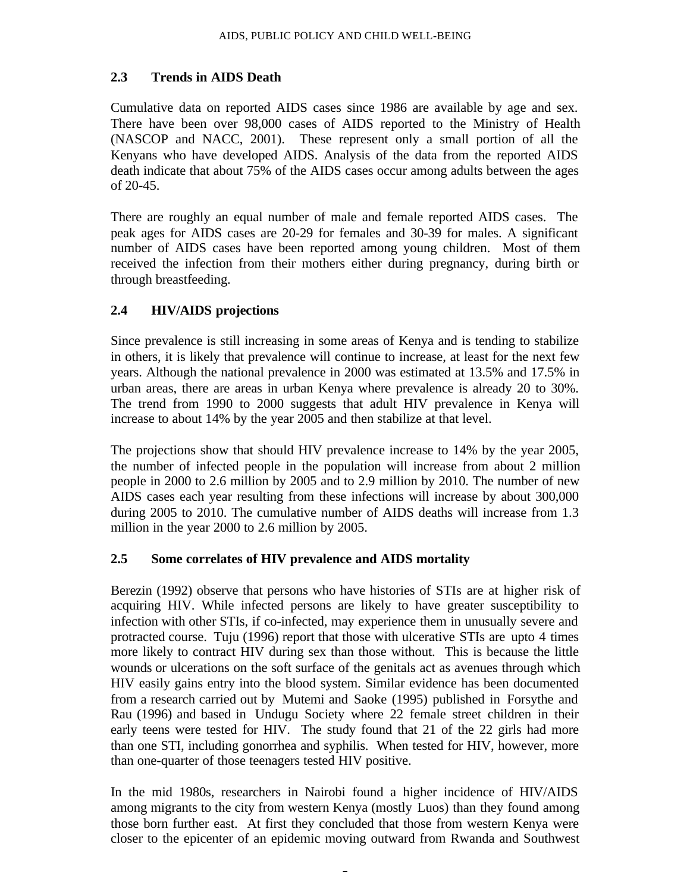## **2.3 Trends in AIDS Death**

Cumulative data on reported AIDS cases since 1986 are available by age and sex. There have been over 98,000 cases of AIDS reported to the Ministry of Health (NASCOP and NACC, 2001). These represent only a small portion of all the Kenyans who have developed AIDS. Analysis of the data from the reported AIDS death indicate that about 75% of the AIDS cases occur among adults between the ages of 20-45.

There are roughly an equal number of male and female reported AIDS cases. The peak ages for AIDS cases are 20-29 for females and 30-39 for males. A significant number of AIDS cases have been reported among young children. Most of them received the infection from their mothers either during pregnancy, during birth or through breastfeeding.

## **2.4 HIV/AIDS projections**

Since prevalence is still increasing in some areas of Kenya and is tending to stabilize in others, it is likely that prevalence will continue to increase, at least for the next few years. Although the national prevalence in 2000 was estimated at 13.5% and 17.5% in urban areas, there are areas in urban Kenya where prevalence is already 20 to 30%. The trend from 1990 to 2000 suggests that adult HIV prevalence in Kenya will increase to about 14% by the year 2005 and then stabilize at that level.

The projections show that should HIV prevalence increase to 14% by the year 2005, the number of infected people in the population will increase from about 2 million people in 2000 to 2.6 million by 2005 and to 2.9 million by 2010. The number of new AIDS cases each year resulting from these infections will increase by about 300,000 during 2005 to 2010. The cumulative number of AIDS deaths will increase from 1.3 million in the year 2000 to 2.6 million by 2005.

## **2.5 Some correlates of HIV prevalence and AIDS mortality**

Berezin (1992) observe that persons who have histories of STIs are at higher risk of acquiring HIV. While infected persons are likely to have greater susceptibility to infection with other STIs, if co-infected, may experience them in unusually severe and protracted course. Tuju (1996) report that those with ulcerative STIs are upto 4 times more likely to contract HIV during sex than those without. This is because the little wounds or ulcerations on the soft surface of the genitals act as avenues through which HIV easily gains entry into the blood system. Similar evidence has been documented from a research carried out by Mutemi and Saoke (1995) published in Forsythe and Rau (1996) and based in Undugu Society where 22 female street children in their early teens were tested for HIV. The study found that 21 of the 22 girls had more than one STI, including gonorrhea and syphilis. When tested for HIV, however, more than one-quarter of those teenagers tested HIV positive.

In the mid 1980s, researchers in Nairobi found a higher incidence of HIV/AIDS among migrants to the city from western Kenya (mostly Luos) than they found among those born further east. At first they concluded that those from western Kenya were closer to the epicenter of an epidemic moving outward from Rwanda and Southwest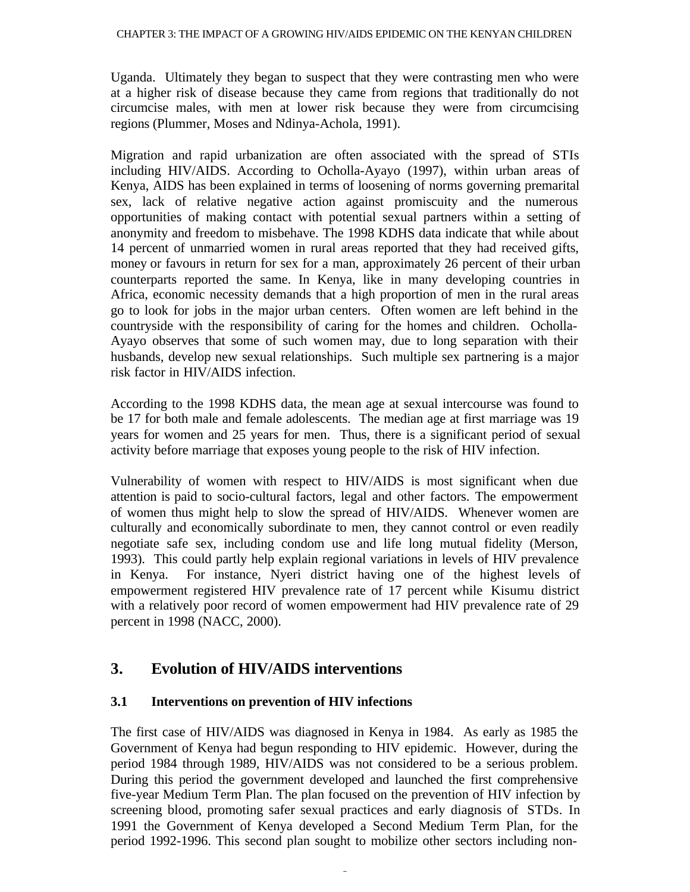Uganda. Ultimately they began to suspect that they were contrasting men who were at a higher risk of disease because they came from regions that traditionally do not circumcise males, with men at lower risk because they were from circumcising regions (Plummer, Moses and Ndinya-Achola, 1991).

Migration and rapid urbanization are often associated with the spread of STIs including HIV/AIDS. According to Ocholla-Ayayo (1997), within urban areas of Kenya, AIDS has been explained in terms of loosening of norms governing premarital sex, lack of relative negative action against promiscuity and the numerous opportunities of making contact with potential sexual partners within a setting of anonymity and freedom to misbehave. The 1998 KDHS data indicate that while about 14 percent of unmarried women in rural areas reported that they had received gifts, money or favours in return for sex for a man, approximately 26 percent of their urban counterparts reported the same. In Kenya, like in many developing countries in Africa, economic necessity demands that a high proportion of men in the rural areas go to look for jobs in the major urban centers. Often women are left behind in the countryside with the responsibility of caring for the homes and children. Ocholla-Ayayo observes that some of such women may, due to long separation with their husbands, develop new sexual relationships. Such multiple sex partnering is a major risk factor in HIV/AIDS infection.

According to the 1998 KDHS data, the mean age at sexual intercourse was found to be 17 for both male and female adolescents. The median age at first marriage was 19 years for women and 25 years for men. Thus, there is a significant period of sexual activity before marriage that exposes young people to the risk of HIV infection.

Vulnerability of women with respect to HIV/AIDS is most significant when due attention is paid to socio-cultural factors, legal and other factors. The empowerment of women thus might help to slow the spread of HIV/AIDS. Whenever women are culturally and economically subordinate to men, they cannot control or even readily negotiate safe sex, including condom use and life long mutual fidelity (Merson, 1993). This could partly help explain regional variations in levels of HIV prevalence in Kenya. For instance, Nyeri district having one of the highest levels of empowerment registered HIV prevalence rate of 17 percent while Kisumu district with a relatively poor record of women empowerment had HIV prevalence rate of 29 percent in 1998 (NACC, 2000).

# **3. Evolution of HIV/AIDS interventions**

## **3.1 Interventions on prevention of HIV infections**

The first case of HIV/AIDS was diagnosed in Kenya in 1984. As early as 1985 the Government of Kenya had begun responding to HIV epidemic. However, during the period 1984 through 1989, HIV/AIDS was not considered to be a serious problem. During this period the government developed and launched the first comprehensive five-year Medium Term Plan. The plan focused on the prevention of HIV infection by screening blood, promoting safer sexual practices and early diagnosis of STDs. In 1991 the Government of Kenya developed a Second Medium Term Plan, for the period 1992-1996. This second plan sought to mobilize other sectors including non-

Î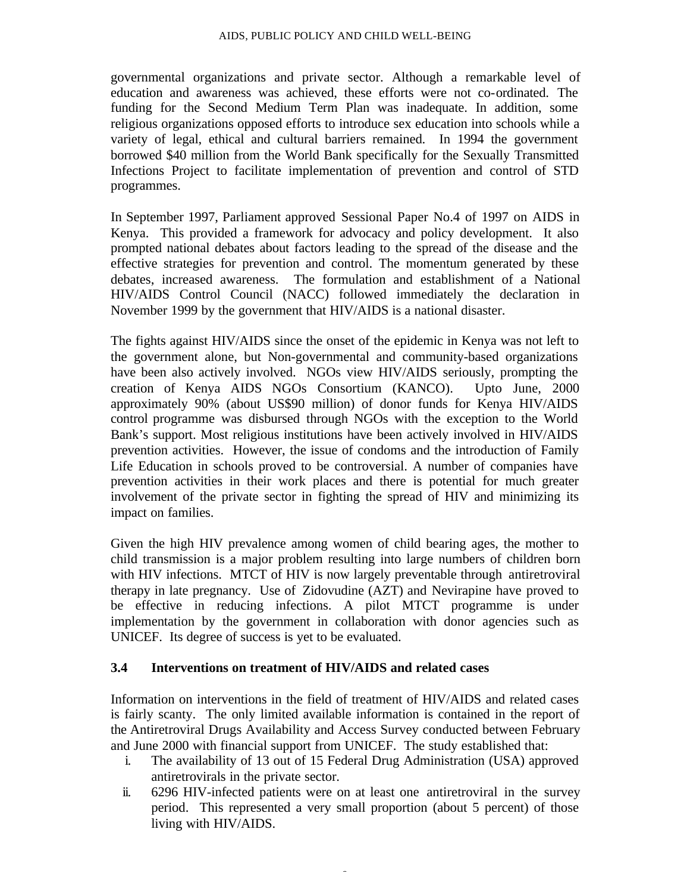governmental organizations and private sector. Although a remarkable level of education and awareness was achieved, these efforts were not co-ordinated. The funding for the Second Medium Term Plan was inadequate. In addition, some religious organizations opposed efforts to introduce sex education into schools while a variety of legal, ethical and cultural barriers remained. In 1994 the government borrowed \$40 million from the World Bank specifically for the Sexually Transmitted Infections Project to facilitate implementation of prevention and control of STD programmes.

In September 1997, Parliament approved Sessional Paper No.4 of 1997 on AIDS in Kenya. This provided a framework for advocacy and policy development. It also prompted national debates about factors leading to the spread of the disease and the effective strategies for prevention and control. The momentum generated by these debates, increased awareness. The formulation and establishment of a National HIV/AIDS Control Council (NACC) followed immediately the declaration in November 1999 by the government that HIV/AIDS is a national disaster.

The fights against HIV/AIDS since the onset of the epidemic in Kenya was not left to the government alone, but Non-governmental and community-based organizations have been also actively involved. NGOs view HIV/AIDS seriously, prompting the creation of Kenya AIDS NGOs Consortium (KANCO). Upto June, 2000 approximately 90% (about US\$90 million) of donor funds for Kenya HIV/AIDS control programme was disbursed through NGOs with the exception to the World Bank's support. Most religious institutions have been actively involved in HIV/AIDS prevention activities. However, the issue of condoms and the introduction of Family Life Education in schools proved to be controversial. A number of companies have prevention activities in their work places and there is potential for much greater involvement of the private sector in fighting the spread of HIV and minimizing its impact on families.

Given the high HIV prevalence among women of child bearing ages, the mother to child transmission is a major problem resulting into large numbers of children born with HIV infections. MTCT of HIV is now largely preventable through antiretroviral therapy in late pregnancy. Use of Zidovudine (AZT) and Nevirapine have proved to be effective in reducing infections. A pilot MTCT programme is under implementation by the government in collaboration with donor agencies such as UNICEF. Its degree of success is yet to be evaluated.

#### **3.4 Interventions on treatment of HIV/AIDS and related cases**

Information on interventions in the field of treatment of HIV/AIDS and related cases is fairly scanty. The only limited available information is contained in the report of the Antiretroviral Drugs Availability and Access Survey conducted between February and June 2000 with financial support from UNICEF. The study established that:

- i. The availability of 13 out of 15 Federal Drug Administration (USA) approved antiretrovirals in the private sector.
- ii. 6296 HIV-infected patients were on at least one antiretroviral in the survey period. This represented a very small proportion (about 5 percent) of those living with HIV/AIDS.

î.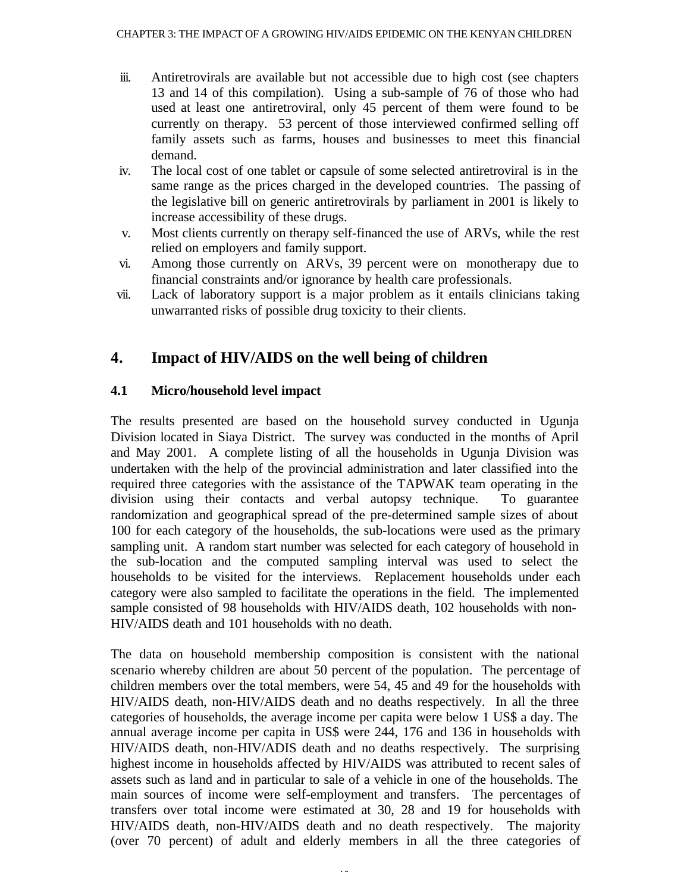- iii. Antiretrovirals are available but not accessible due to high cost (see chapters 13 and 14 of this compilation). Using a sub-sample of 76 of those who had used at least one antiretroviral, only 45 percent of them were found to be currently on therapy. 53 percent of those interviewed confirmed selling off family assets such as farms, houses and businesses to meet this financial demand.
- iv. The local cost of one tablet or capsule of some selected antiretroviral is in the same range as the prices charged in the developed countries. The passing of the legislative bill on generic antiretrovirals by parliament in 2001 is likely to increase accessibility of these drugs.
- v. Most clients currently on therapy self-financed the use of ARVs, while the rest relied on employers and family support.
- vi. Among those currently on ARVs, 39 percent were on monotherapy due to financial constraints and/or ignorance by health care professionals.
- vii. Lack of laboratory support is a major problem as it entails clinicians taking unwarranted risks of possible drug toxicity to their clients.

# **4. Impact of HIV/AIDS on the well being of children**

# **4.1 Micro/household level impact**

The results presented are based on the household survey conducted in Ugunja Division located in Siaya District. The survey was conducted in the months of April and May 2001. A complete listing of all the households in Ugunja Division was undertaken with the help of the provincial administration and later classified into the required three categories with the assistance of the TAPWAK team operating in the division using their contacts and verbal autopsy technique. To guarantee randomization and geographical spread of the pre-determined sample sizes of about 100 for each category of the households, the sub-locations were used as the primary sampling unit. A random start number was selected for each category of household in the sub-location and the computed sampling interval was used to select the households to be visited for the interviews. Replacement households under each category were also sampled to facilitate the operations in the field. The implemented sample consisted of 98 households with HIV/AIDS death, 102 households with non-HIV/AIDS death and 101 households with no death.

The data on household membership composition is consistent with the national scenario whereby children are about 50 percent of the population. The percentage of children members over the total members, were 54, 45 and 49 for the households with HIV/AIDS death, non-HIV/AIDS death and no deaths respectively. In all the three categories of households, the average income per capita were below 1 US\$ a day. The annual average income per capita in US\$ were 244, 176 and 136 in households with HIV/AIDS death, non-HIV/ADIS death and no deaths respectively. The surprising highest income in households affected by HIV/AIDS was attributed to recent sales of assets such as land and in particular to sale of a vehicle in one of the households. The main sources of income were self-employment and transfers. The percentages of transfers over total income were estimated at 30, 28 and 19 for households with HIV/AIDS death, non-HIV/AIDS death and no death respectively. The majority (over 70 percent) of adult and elderly members in all the three categories of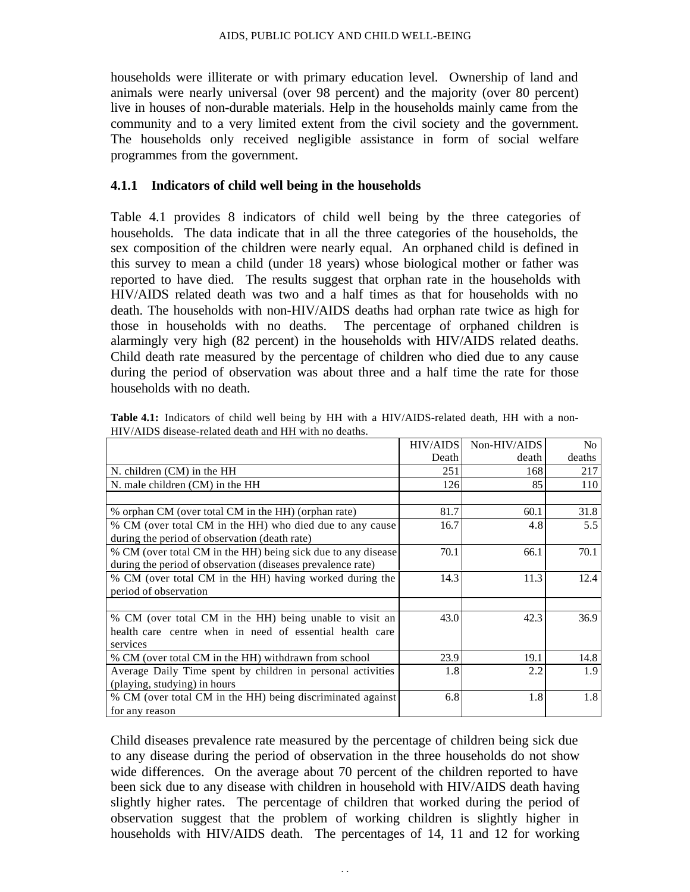households were illiterate or with primary education level. Ownership of land and animals were nearly universal (over 98 percent) and the majority (over 80 percent) live in houses of non-durable materials. Help in the households mainly came from the community and to a very limited extent from the civil society and the government. The households only received negligible assistance in form of social welfare programmes from the government.

#### **4.1.1 Indicators of child well being in the households**

Table 4.1 provides 8 indicators of child well being by the three categories of households. The data indicate that in all the three categories of the households, the sex composition of the children were nearly equal. An orphaned child is defined in this survey to mean a child (under 18 years) whose biological mother or father was reported to have died. The results suggest that orphan rate in the households with HIV/AIDS related death was two and a half times as that for households with no death. The households with non-HIV/AIDS deaths had orphan rate twice as high for those in households with no deaths. The percentage of orphaned children is alarmingly very high (82 percent) in the households with HIV/AIDS related deaths. Child death rate measured by the percentage of children who died due to any cause during the period of observation was about three and a half time the rate for those households with no death.

|                                                              | <b>HIV/AIDS</b> | Non-HIV/AIDS | No     |
|--------------------------------------------------------------|-----------------|--------------|--------|
|                                                              | Death           | death        | deaths |
| N. children (CM) in the HH                                   | 251             | 168          | 217    |
| N. male children (CM) in the HH                              | 126             | 85           | 110    |
|                                                              |                 |              |        |
| % orphan CM (over total CM in the HH) (orphan rate)          | 81.7            | 60.1         | 31.8   |
| % CM (over total CM in the HH) who died due to any cause     | 16.7            | 4.8          | 5.5    |
| during the period of observation (death rate)                |                 |              |        |
| % CM (over total CM in the HH) being sick due to any disease | 70.1            | 66.1         | 70.1   |
| during the period of observation (diseases prevalence rate)  |                 |              |        |
| % CM (over total CM in the HH) having worked during the      | 14.3            | 11.3         | 12.4   |
| period of observation                                        |                 |              |        |
|                                                              |                 |              |        |
| % CM (over total CM in the HH) being unable to visit an      | 43.0            | 42.3         | 36.9   |
| health care centre when in need of essential health care     |                 |              |        |
| services                                                     |                 |              |        |
| % CM (over total CM in the HH) withdrawn from school         | 23.9            | 19.1         | 14.8   |
| Average Daily Time spent by children in personal activities  | 1.8             | 2.2          | 1.9    |
| (playing, studying) in hours                                 |                 |              |        |
| % CM (over total CM in the HH) being discriminated against   | 6.8             | 1.8          | 1.8    |
| for any reason                                               |                 |              |        |

**Table 4.1:** Indicators of child well being by HH with a HIV/AIDS-related death, HH with a non-HIV/AIDS disease-related death and HH with no deaths.

Child diseases prevalence rate measured by the percentage of children being sick due to any disease during the period of observation in the three households do not show wide differences. On the average about 70 percent of the children reported to have been sick due to any disease with children in household with HIV/AIDS death having slightly higher rates. The percentage of children that worked during the period of observation suggest that the problem of working children is slightly higher in households with HIV/AIDS death. The percentages of 14, 11 and 12 for working

11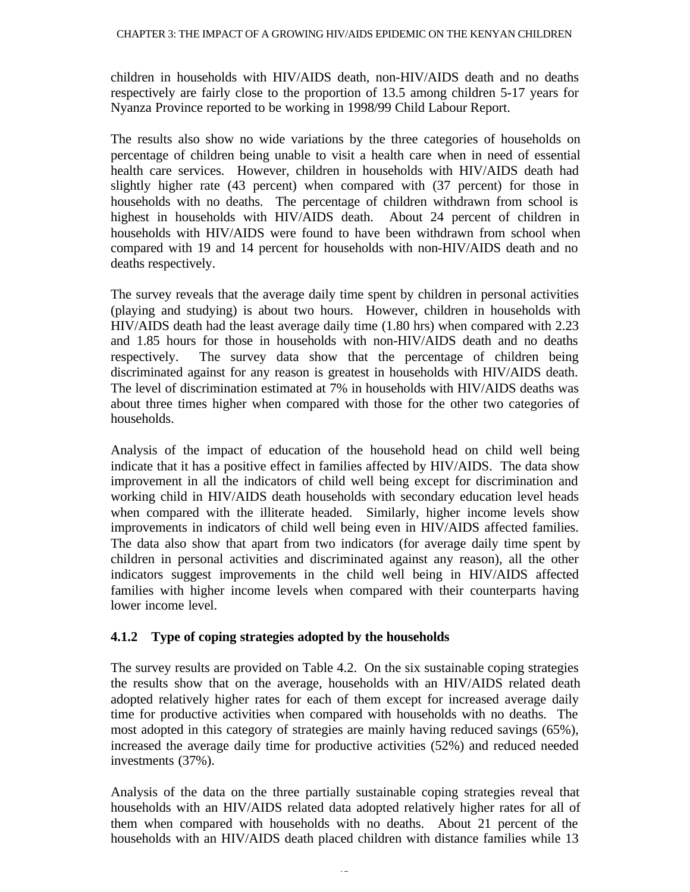children in households with HIV/AIDS death, non-HIV/AIDS death and no deaths respectively are fairly close to the proportion of 13.5 among children 5-17 years for Nyanza Province reported to be working in 1998/99 Child Labour Report.

The results also show no wide variations by the three categories of households on percentage of children being unable to visit a health care when in need of essential health care services. However, children in households with HIV/AIDS death had slightly higher rate (43 percent) when compared with (37 percent) for those in households with no deaths. The percentage of children withdrawn from school is highest in households with HIV/AIDS death. About 24 percent of children in households with HIV/AIDS were found to have been withdrawn from school when compared with 19 and 14 percent for households with non-HIV/AIDS death and no deaths respectively.

The survey reveals that the average daily time spent by children in personal activities (playing and studying) is about two hours. However, children in households with HIV/AIDS death had the least average daily time (1.80 hrs) when compared with 2.23 and 1.85 hours for those in households with non-HIV/AIDS death and no deaths respectively. The survey data show that the percentage of children being discriminated against for any reason is greatest in households with HIV/AIDS death. The level of discrimination estimated at 7% in households with HIV/AIDS deaths was about three times higher when compared with those for the other two categories of households.

Analysis of the impact of education of the household head on child well being indicate that it has a positive effect in families affected by HIV/AIDS. The data show improvement in all the indicators of child well being except for discrimination and working child in HIV/AIDS death households with secondary education level heads when compared with the illiterate headed. Similarly, higher income levels show improvements in indicators of child well being even in HIV/AIDS affected families. The data also show that apart from two indicators (for average daily time spent by children in personal activities and discriminated against any reason), all the other indicators suggest improvements in the child well being in HIV/AIDS affected families with higher income levels when compared with their counterparts having lower income level.

## **4.1.2 Type of coping strategies adopted by the households**

The survey results are provided on Table 4.2. On the six sustainable coping strategies the results show that on the average, households with an HIV/AIDS related death adopted relatively higher rates for each of them except for increased average daily time for productive activities when compared with households with no deaths. The most adopted in this category of strategies are mainly having reduced savings (65%), increased the average daily time for productive activities (52%) and reduced needed investments (37%).

Analysis of the data on the three partially sustainable coping strategies reveal that households with an HIV/AIDS related data adopted relatively higher rates for all of them when compared with households with no deaths. About 21 percent of the households with an HIV/AIDS death placed children with distance families while 13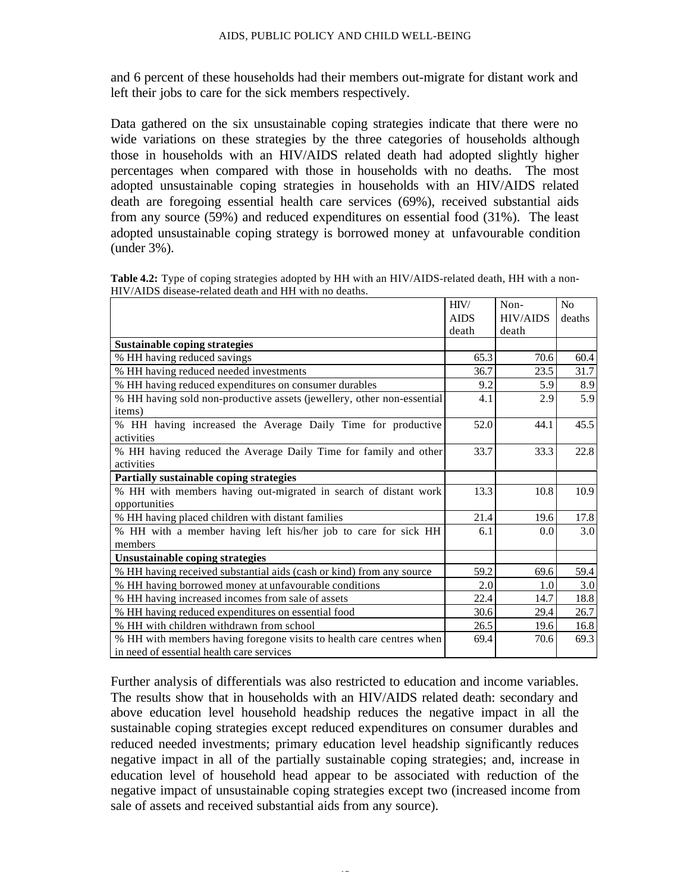and 6 percent of these households had their members out-migrate for distant work and left their jobs to care for the sick members respectively.

Data gathered on the six unsustainable coping strategies indicate that there were no wide variations on these strategies by the three categories of households although those in households with an HIV/AIDS related death had adopted slightly higher percentages when compared with those in households with no deaths. The most adopted unsustainable coping strategies in households with an HIV/AIDS related death are foregoing essential health care services (69%), received substantial aids from any source (59%) and reduced expenditures on essential food (31%). The least adopted unsustainable coping strategy is borrowed money at unfavourable condition (under 3%).

|                                                                        | HIV/        | Non-            | No     |
|------------------------------------------------------------------------|-------------|-----------------|--------|
|                                                                        | <b>AIDS</b> | <b>HIV/AIDS</b> | deaths |
|                                                                        | death       | death           |        |
| Sustainable coping strategies                                          |             |                 |        |
| % HH having reduced savings                                            | 65.3        | 70.6            | 60.4   |
| % HH having reduced needed investments                                 | 36.7        | 23.5            | 31.7   |
| % HH having reduced expenditures on consumer durables                  | 9.2         | 5.9             | 8.9    |
| % HH having sold non-productive assets (jewellery, other non-essential | 4.1         | 2.9             | 5.9    |
| items)                                                                 |             |                 |        |
| % HH having increased the Average Daily Time for productive            | 52.0        | 44.1            | 45.5   |
| activities                                                             |             |                 |        |
| % HH having reduced the Average Daily Time for family and other        | 33.7        | 33.3            | 22.8   |
| activities                                                             |             |                 |        |
| Partially sustainable coping strategies                                |             |                 |        |
| % HH with members having out-migrated in search of distant work        | 13.3        | 10.8            | 10.9   |
| opportunities                                                          |             |                 |        |
| % HH having placed children with distant families                      | 21.4        | 19.6            | 17.8   |
| % HH with a member having left his/her job to care for sick HH         | 6.1         | 0.0             | 3.0    |
| members                                                                |             |                 |        |
| Unsustainable coping strategies                                        |             |                 |        |
| % HH having received substantial aids (cash or kind) from any source   | 59.2        | 69.6            | 59.4   |
| % HH having borrowed money at unfavourable conditions                  | 2.0         | 1.0             | 3.0    |
| % HH having increased incomes from sale of assets                      | 22.4        | 14.7            | 18.8   |
| % HH having reduced expenditures on essential food                     | 30.6        | 29.4            | 26.7   |
| % HH with children withdrawn from school                               | 26.5        | 19.6            | 16.8   |
| % HH with members having foregone visits to health care centres when   | 69.4        | 70.6            | 69.3   |
| in need of essential health care services                              |             |                 |        |

**Table 4.2:** Type of coping strategies adopted by HH with an HIV/AIDS-related death, HH with a non-HIV/AIDS disease-related death and HH with no deaths.

Further analysis of differentials was also restricted to education and income variables. The results show that in households with an HIV/AIDS related death: secondary and above education level household headship reduces the negative impact in all the sustainable coping strategies except reduced expenditures on consumer durables and reduced needed investments; primary education level headship significantly reduces negative impact in all of the partially sustainable coping strategies; and, increase in education level of household head appear to be associated with reduction of the negative impact of unsustainable coping strategies except two (increased income from sale of assets and received substantial aids from any source).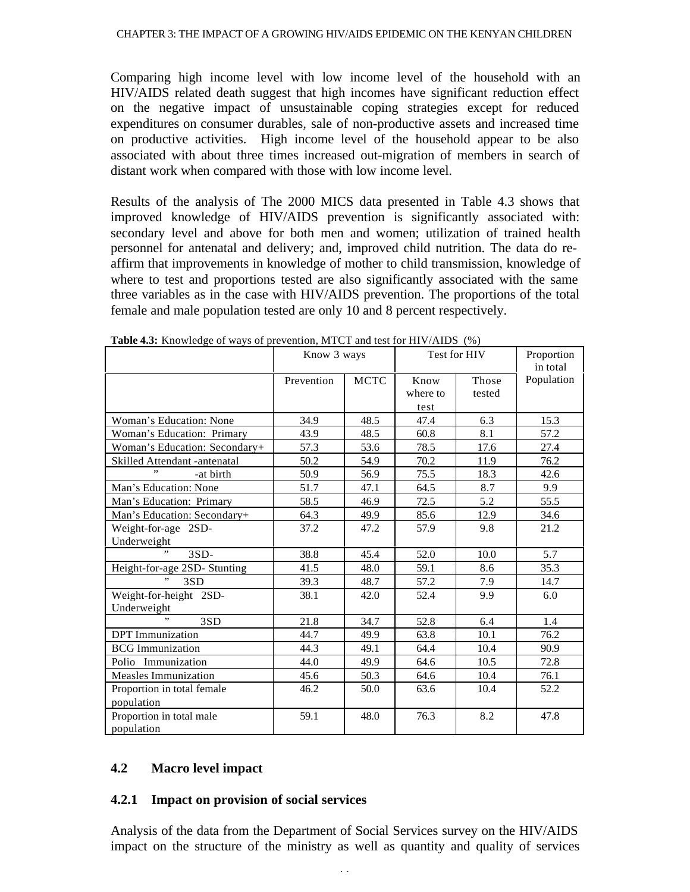Comparing high income level with low income level of the household with an HIV/AIDS related death suggest that high incomes have significant reduction effect on the negative impact of unsustainable coping strategies except for reduced expenditures on consumer durables, sale of non-productive assets and increased time on productive activities. High income level of the household appear to be also associated with about three times increased out-migration of members in search of distant work when compared with those with low income level.

Results of the analysis of The 2000 MICS data presented in Table 4.3 shows that improved knowledge of HIV/AIDS prevention is significantly associated with: secondary level and above for both men and women; utilization of trained health personnel for antenatal and delivery; and, improved child nutrition. The data do reaffirm that improvements in knowledge of mother to child transmission, knowledge of where to test and proportions tested are also significantly associated with the same three variables as in the case with HIV/AIDS prevention. The proportions of the total female and male population tested are only 10 and 8 percent respectively.

|                                | Know 3 ways |             | Test for HIV |        | Proportion<br>in total |
|--------------------------------|-------------|-------------|--------------|--------|------------------------|
|                                | Prevention  | <b>MCTC</b> | Know         | Those  | Population             |
|                                |             |             | where to     | tested |                        |
|                                |             |             | test         |        |                        |
| <b>Woman's Education: None</b> | 34.9        | 48.5        | 47.4         | 6.3    | 15.3                   |
| Woman's Education: Primary     | 43.9        | 48.5        | 60.8         | 8.1    | 57.2                   |
| Woman's Education: Secondary+  | 57.3        | 53.6        | 78.5         | 17.6   | 27.4                   |
| Skilled Attendant -antenatal   | 50.2        | 54.9        | 70.2         | 11.9   | 76.2                   |
| -at birth                      | 50.9        | 56.9        | 75.5         | 18.3   | 42.6                   |
| Man's Education: None          | 51.7        | 47.1        | 64.5         | 8.7    | 9.9                    |
| Man's Education: Primary       | 58.5        | 46.9        | 72.5         | 5.2    | 55.5                   |
| Man's Education: Secondary+    | 64.3        | 49.9        | 85.6         | 12.9   | 34.6                   |
| Weight-for-age 2SD-            | 37.2        | 47.2        | 57.9         | 9.8    | 21.2                   |
| Underweight                    |             |             |              |        |                        |
| , ,<br>$3SD-$                  | 38.8        | 45.4        | 52.0         | 10.0   | 5.7                    |
| Height-for-age 2SD- Stunting   | 41.5        | 48.0        | 59.1         | 8.6    | 35.3                   |
| 3SD                            | 39.3        | 48.7        | 57.2         | 7.9    | 14.7                   |
| Weight-for-height 2SD-         | 38.1        | 42.0        | 52.4         | 9.9    | 6.0                    |
| Underweight                    |             |             |              |        |                        |
| ,,<br>3SD                      | 21.8        | 34.7        | 52.8         | 6.4    | 1.4                    |
| <b>DPT</b> Immunization        | 44.7        | 49.9        | 63.8         | 10.1   | 76.2                   |
| <b>BCG</b> Immunization        | 44.3        | 49.1        | 64.4         | 10.4   | 90.9                   |
| Polio Immunization             | 44.0        | 49.9        | 64.6         | 10.5   | 72.8                   |
| <b>Measles Immunization</b>    | 45.6        | 50.3        | 64.6         | 10.4   | 76.1                   |
| Proportion in total female     | 46.2        | 50.0        | 63.6         | 10.4   | 52.2                   |
| population                     |             |             |              |        |                        |
| Proportion in total male       | 59.1        | 48.0        | 76.3         | 8.2    | 47.8                   |
| population                     |             |             |              |        |                        |

**Table 4.3:** Knowledge of ways of prevention, MTCT and test for HIV/AIDS (%)

#### **4.2 Macro level impact**

#### **4.2.1 Impact on provision of social services**

Analysis of the data from the Department of Social Services survey on the HIV/AIDS impact on the structure of the ministry as well as quantity and quality of services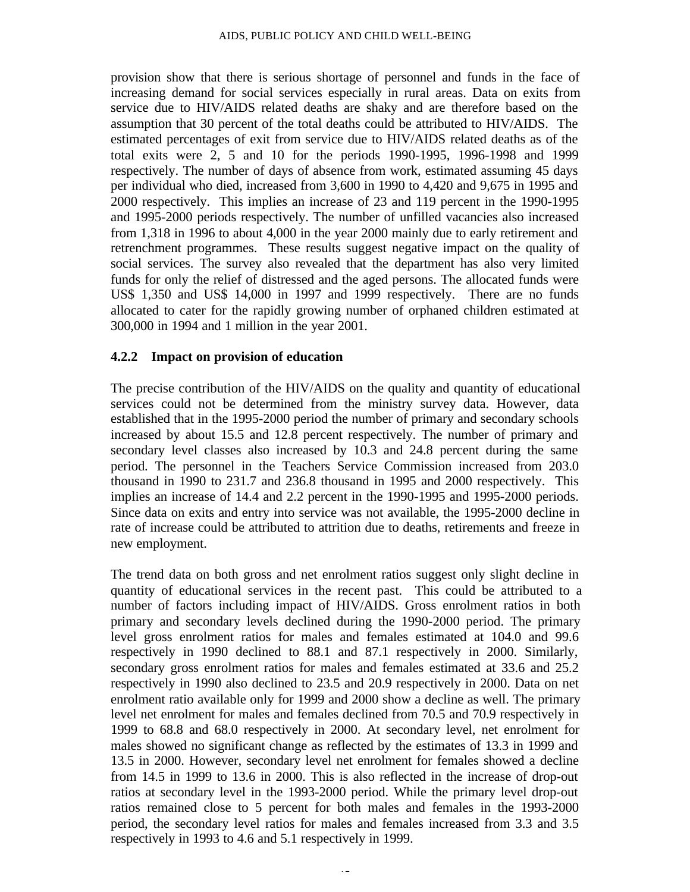provision show that there is serious shortage of personnel and funds in the face of increasing demand for social services especially in rural areas. Data on exits from service due to HIV/AIDS related deaths are shaky and are therefore based on the assumption that 30 percent of the total deaths could be attributed to HIV/AIDS. The estimated percentages of exit from service due to HIV/AIDS related deaths as of the total exits were 2, 5 and 10 for the periods 1990-1995, 1996-1998 and 1999 respectively. The number of days of absence from work, estimated assuming 45 days per individual who died, increased from 3,600 in 1990 to 4,420 and 9,675 in 1995 and 2000 respectively. This implies an increase of 23 and 119 percent in the 1990-1995 and 1995-2000 periods respectively. The number of unfilled vacancies also increased from 1,318 in 1996 to about 4,000 in the year 2000 mainly due to early retirement and retrenchment programmes. These results suggest negative impact on the quality of social services. The survey also revealed that the department has also very limited funds for only the relief of distressed and the aged persons. The allocated funds were US\$ 1,350 and US\$ 14,000 in 1997 and 1999 respectively. There are no funds allocated to cater for the rapidly growing number of orphaned children estimated at 300,000 in 1994 and 1 million in the year 2001.

#### **4.2.2 Impact on provision of education**

The precise contribution of the HIV/AIDS on the quality and quantity of educational services could not be determined from the ministry survey data. However, data established that in the 1995-2000 period the number of primary and secondary schools increased by about 15.5 and 12.8 percent respectively. The number of primary and secondary level classes also increased by 10.3 and 24.8 percent during the same period. The personnel in the Teachers Service Commission increased from 203.0 thousand in 1990 to 231.7 and 236.8 thousand in 1995 and 2000 respectively. This implies an increase of 14.4 and 2.2 percent in the 1990-1995 and 1995-2000 periods. Since data on exits and entry into service was not available, the 1995-2000 decline in rate of increase could be attributed to attrition due to deaths, retirements and freeze in new employment.

The trend data on both gross and net enrolment ratios suggest only slight decline in quantity of educational services in the recent past. This could be attributed to a number of factors including impact of HIV/AIDS. Gross enrolment ratios in both primary and secondary levels declined during the 1990-2000 period. The primary level gross enrolment ratios for males and females estimated at 104.0 and 99.6 respectively in 1990 declined to 88.1 and 87.1 respectively in 2000. Similarly, secondary gross enrolment ratios for males and females estimated at 33.6 and 25.2 respectively in 1990 also declined to 23.5 and 20.9 respectively in 2000. Data on net enrolment ratio available only for 1999 and 2000 show a decline as well. The primary level net enrolment for males and females declined from 70.5 and 70.9 respectively in 1999 to 68.8 and 68.0 respectively in 2000. At secondary level, net enrolment for males showed no significant change as reflected by the estimates of 13.3 in 1999 and 13.5 in 2000. However, secondary level net enrolment for females showed a decline from 14.5 in 1999 to 13.6 in 2000. This is also reflected in the increase of drop-out ratios at secondary level in the 1993-2000 period. While the primary level drop-out ratios remained close to 5 percent for both males and females in the 1993-2000 period, the secondary level ratios for males and females increased from 3.3 and 3.5 respectively in 1993 to 4.6 and 5.1 respectively in 1999.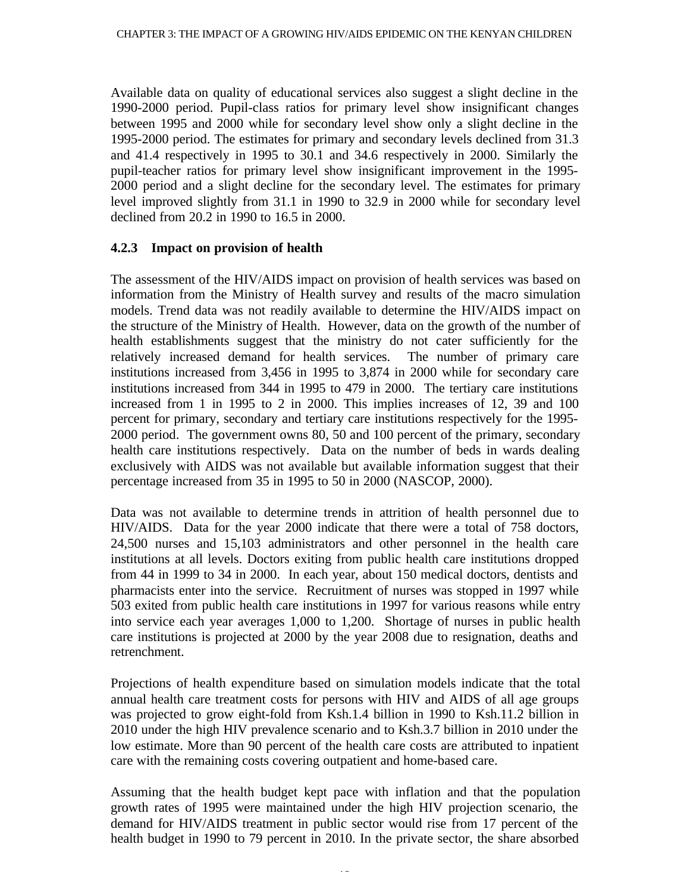Available data on quality of educational services also suggest a slight decline in the 1990-2000 period. Pupil-class ratios for primary level show insignificant changes between 1995 and 2000 while for secondary level show only a slight decline in the 1995-2000 period. The estimates for primary and secondary levels declined from 31.3 and 41.4 respectively in 1995 to 30.1 and 34.6 respectively in 2000. Similarly the pupil-teacher ratios for primary level show insignificant improvement in the 1995- 2000 period and a slight decline for the secondary level. The estimates for primary level improved slightly from 31.1 in 1990 to 32.9 in 2000 while for secondary level declined from 20.2 in 1990 to 16.5 in 2000.

#### **4.2.3 Impact on provision of health**

The assessment of the HIV/AIDS impact on provision of health services was based on information from the Ministry of Health survey and results of the macro simulation models. Trend data was not readily available to determine the HIV/AIDS impact on the structure of the Ministry of Health. However, data on the growth of the number of health establishments suggest that the ministry do not cater sufficiently for the relatively increased demand for health services. The number of primary care institutions increased from 3,456 in 1995 to 3,874 in 2000 while for secondary care institutions increased from 344 in 1995 to 479 in 2000. The tertiary care institutions increased from 1 in 1995 to 2 in 2000. This implies increases of 12, 39 and 100 percent for primary, secondary and tertiary care institutions respectively for the 1995- 2000 period. The government owns 80, 50 and 100 percent of the primary, secondary health care institutions respectively. Data on the number of beds in wards dealing exclusively with AIDS was not available but available information suggest that their percentage increased from 35 in 1995 to 50 in 2000 (NASCOP, 2000).

Data was not available to determine trends in attrition of health personnel due to HIV/AIDS. Data for the year 2000 indicate that there were a total of 758 doctors, 24,500 nurses and 15,103 administrators and other personnel in the health care institutions at all levels. Doctors exiting from public health care institutions dropped from 44 in 1999 to 34 in 2000. In each year, about 150 medical doctors, dentists and pharmacists enter into the service. Recruitment of nurses was stopped in 1997 while 503 exited from public health care institutions in 1997 for various reasons while entry into service each year averages 1,000 to 1,200. Shortage of nurses in public health care institutions is projected at 2000 by the year 2008 due to resignation, deaths and retrenchment.

Projections of health expenditure based on simulation models indicate that the total annual health care treatment costs for persons with HIV and AIDS of all age groups was projected to grow eight-fold from Ksh.1.4 billion in 1990 to Ksh.11.2 billion in 2010 under the high HIV prevalence scenario and to Ksh.3.7 billion in 2010 under the low estimate. More than 90 percent of the health care costs are attributed to inpatient care with the remaining costs covering outpatient and home-based care.

Assuming that the health budget kept pace with inflation and that the population growth rates of 1995 were maintained under the high HIV projection scenario, the demand for HIV/AIDS treatment in public sector would rise from 17 percent of the health budget in 1990 to 79 percent in 2010. In the private sector, the share absorbed

16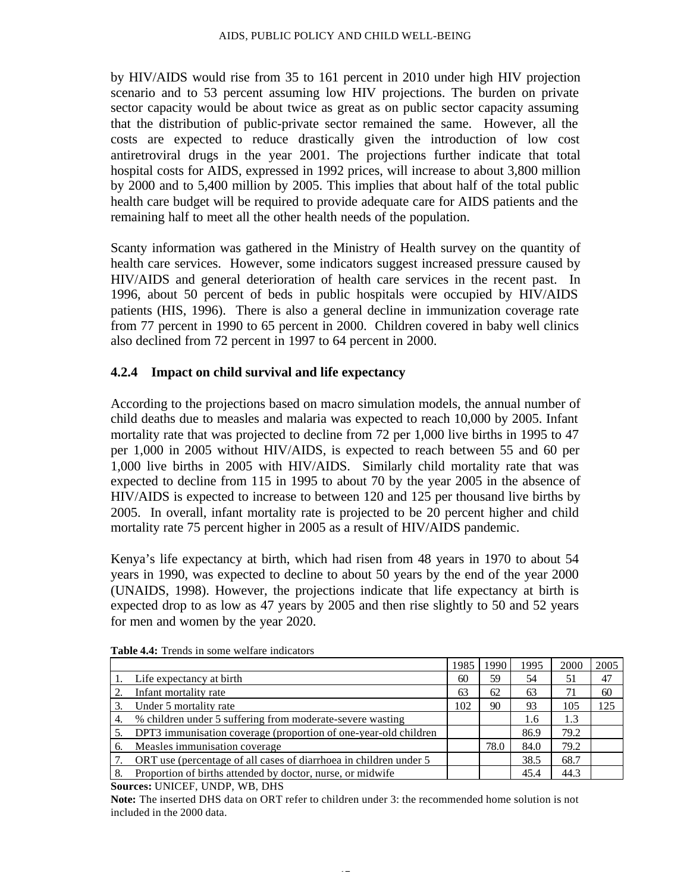by HIV/AIDS would rise from 35 to 161 percent in 2010 under high HIV projection scenario and to 53 percent assuming low HIV projections. The burden on private sector capacity would be about twice as great as on public sector capacity assuming that the distribution of public-private sector remained the same. However, all the costs are expected to reduce drastically given the introduction of low cost antiretroviral drugs in the year 2001. The projections further indicate that total hospital costs for AIDS, expressed in 1992 prices, will increase to about 3,800 million by 2000 and to 5,400 million by 2005. This implies that about half of the total public health care budget will be required to provide adequate care for AIDS patients and the remaining half to meet all the other health needs of the population.

Scanty information was gathered in the Ministry of Health survey on the quantity of health care services. However, some indicators suggest increased pressure caused by HIV/AIDS and general deterioration of health care services in the recent past. In 1996, about 50 percent of beds in public hospitals were occupied by HIV/AIDS patients (HIS, 1996). There is also a general decline in immunization coverage rate from 77 percent in 1990 to 65 percent in 2000. Children covered in baby well clinics also declined from 72 percent in 1997 to 64 percent in 2000.

#### **4.2.4 Impact on child survival and life expectancy**

According to the projections based on macro simulation models, the annual number of child deaths due to measles and malaria was expected to reach 10,000 by 2005. Infant mortality rate that was projected to decline from 72 per 1,000 live births in 1995 to 47 per 1,000 in 2005 without HIV/AIDS, is expected to reach between 55 and 60 per 1,000 live births in 2005 with HIV/AIDS. Similarly child mortality rate that was expected to decline from 115 in 1995 to about 70 by the year 2005 in the absence of HIV/AIDS is expected to increase to between 120 and 125 per thousand live births by 2005. In overall, infant mortality rate is projected to be 20 percent higher and child mortality rate 75 percent higher in 2005 as a result of HIV/AIDS pandemic.

Kenya's life expectancy at birth, which had risen from 48 years in 1970 to about 54 years in 1990, was expected to decline to about 50 years by the end of the year 2000 (UNAIDS, 1998). However, the projections indicate that life expectancy at birth is expected drop to as low as 47 years by 2005 and then rise slightly to 50 and 52 years for men and women by the year 2020.

|    |                                                                   | 1985 | 1990 | 1995 | 2000 | 2005 |
|----|-------------------------------------------------------------------|------|------|------|------|------|
|    | Life expectancy at birth                                          | 60   | 59   | 54   | 51   | 47   |
|    | Infant mortality rate                                             | 63   | 62   | 63   |      | 60   |
|    | Under 5 mortality rate                                            | 102  | 90   | 93   | 105  | 125  |
| 4. | % children under 5 suffering from moderate-severe wasting         |      |      | 1.6  | 1.3  |      |
|    | DPT3 immunisation coverage (proportion of one-year-old children   |      |      | 86.9 | 79.2 |      |
| б. | Measles immunisation coverage                                     |      | 78.0 | 84.0 | 79.2 |      |
|    | ORT use (percentage of all cases of diarrhoea in children under 5 |      |      | 38.5 | 68.7 |      |
|    | Proportion of births attended by doctor, nurse, or midwife        |      |      | 45.4 | 44.3 |      |

**Table 4.4:** Trends in some welfare indicators

**Sources:** UNICEF, UNDP, WB, DHS

**Note:** The inserted DHS data on ORT refer to children under 3: the recommended home solution is not included in the 2000 data.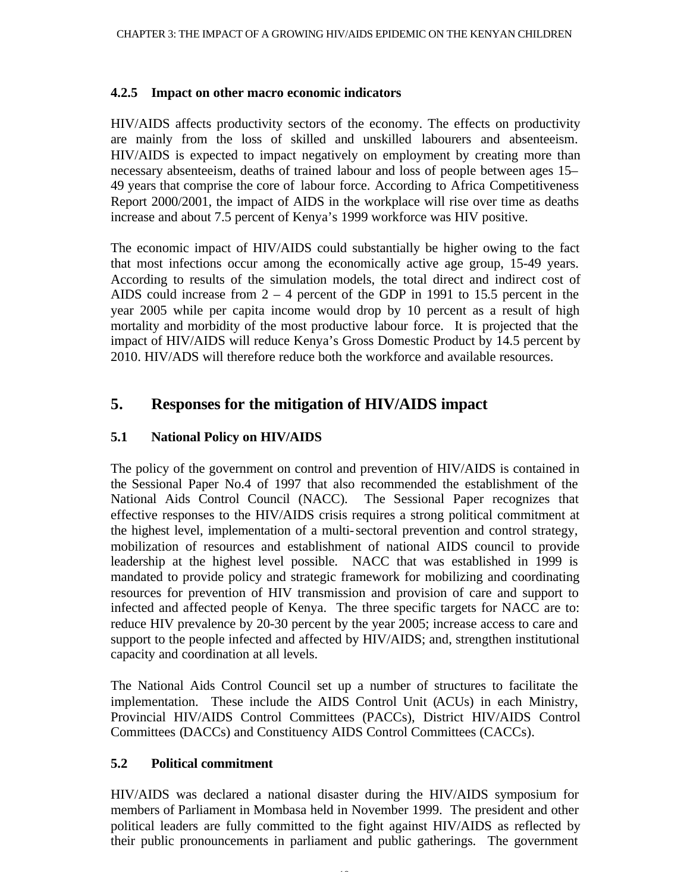#### **4.2.5 Impact on other macro economic indicators**

HIV/AIDS affects productivity sectors of the economy. The effects on productivity are mainly from the loss of skilled and unskilled labourers and absenteeism. HIV/AIDS is expected to impact negatively on employment by creating more than necessary absenteeism, deaths of trained labour and loss of people between ages 15– 49 years that comprise the core of labour force. According to Africa Competitiveness Report 2000/2001, the impact of AIDS in the workplace will rise over time as deaths increase and about 7.5 percent of Kenya's 1999 workforce was HIV positive.

The economic impact of HIV/AIDS could substantially be higher owing to the fact that most infections occur among the economically active age group, 15-49 years. According to results of the simulation models, the total direct and indirect cost of AIDS could increase from 2 – 4 percent of the GDP in 1991 to 15.5 percent in the year 2005 while per capita income would drop by 10 percent as a result of high mortality and morbidity of the most productive labour force. It is projected that the impact of HIV/AIDS will reduce Kenya's Gross Domestic Product by 14.5 percent by 2010. HIV/ADS will therefore reduce both the workforce and available resources.

# **5. Responses for the mitigation of HIV/AIDS impact**

## **5.1 National Policy on HIV/AIDS**

The policy of the government on control and prevention of HIV/AIDS is contained in the Sessional Paper No.4 of 1997 that also recommended the establishment of the National Aids Control Council (NACC). The Sessional Paper recognizes that effective responses to the HIV/AIDS crisis requires a strong political commitment at the highest level, implementation of a multi-sectoral prevention and control strategy, mobilization of resources and establishment of national AIDS council to provide leadership at the highest level possible. NACC that was established in 1999 is mandated to provide policy and strategic framework for mobilizing and coordinating resources for prevention of HIV transmission and provision of care and support to infected and affected people of Kenya. The three specific targets for NACC are to: reduce HIV prevalence by 20-30 percent by the year 2005; increase access to care and support to the people infected and affected by HIV/AIDS; and, strengthen institutional capacity and coordination at all levels.

The National Aids Control Council set up a number of structures to facilitate the implementation. These include the AIDS Control Unit (ACUs) in each Ministry, Provincial HIV/AIDS Control Committees (PACCs), District HIV/AIDS Control Committees (DACCs) and Constituency AIDS Control Committees (CACCs).

#### **5.2 Political commitment**

HIV/AIDS was declared a national disaster during the HIV/AIDS symposium for members of Parliament in Mombasa held in November 1999. The president and other political leaders are fully committed to the fight against HIV/AIDS as reflected by their public pronouncements in parliament and public gatherings. The government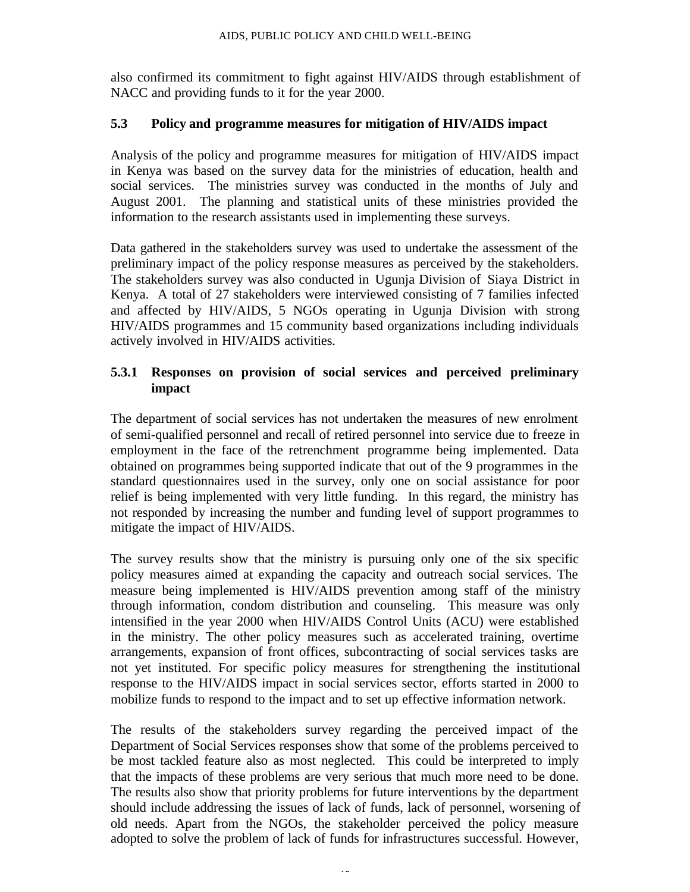also confirmed its commitment to fight against HIV/AIDS through establishment of NACC and providing funds to it for the year 2000.

#### **5.3 Policy and programme measures for mitigation of HIV/AIDS impact**

Analysis of the policy and programme measures for mitigation of HIV/AIDS impact in Kenya was based on the survey data for the ministries of education, health and social services. The ministries survey was conducted in the months of July and August 2001. The planning and statistical units of these ministries provided the information to the research assistants used in implementing these surveys.

Data gathered in the stakeholders survey was used to undertake the assessment of the preliminary impact of the policy response measures as perceived by the stakeholders. The stakeholders survey was also conducted in Ugunja Division of Siaya District in Kenya. A total of 27 stakeholders were interviewed consisting of 7 families infected and affected by HIV/AIDS, 5 NGOs operating in Ugunja Division with strong HIV/AIDS programmes and 15 community based organizations including individuals actively involved in HIV/AIDS activities.

#### **5.3.1 Responses on provision of social services and perceived preliminary impact**

The department of social services has not undertaken the measures of new enrolment of semi-qualified personnel and recall of retired personnel into service due to freeze in employment in the face of the retrenchment programme being implemented. Data obtained on programmes being supported indicate that out of the 9 programmes in the standard questionnaires used in the survey, only one on social assistance for poor relief is being implemented with very little funding. In this regard, the ministry has not responded by increasing the number and funding level of support programmes to mitigate the impact of HIV/AIDS.

The survey results show that the ministry is pursuing only one of the six specific policy measures aimed at expanding the capacity and outreach social services. The measure being implemented is HIV/AIDS prevention among staff of the ministry through information, condom distribution and counseling. This measure was only intensified in the year 2000 when HIV/AIDS Control Units (ACU) were established in the ministry. The other policy measures such as accelerated training, overtime arrangements, expansion of front offices, subcontracting of social services tasks are not yet instituted. For specific policy measures for strengthening the institutional response to the HIV/AIDS impact in social services sector, efforts started in 2000 to mobilize funds to respond to the impact and to set up effective information network.

The results of the stakeholders survey regarding the perceived impact of the Department of Social Services responses show that some of the problems perceived to be most tackled feature also as most neglected. This could be interpreted to imply that the impacts of these problems are very serious that much more need to be done. The results also show that priority problems for future interventions by the department should include addressing the issues of lack of funds, lack of personnel, worsening of old needs. Apart from the NGOs, the stakeholder perceived the policy measure adopted to solve the problem of lack of funds for infrastructures successful. However,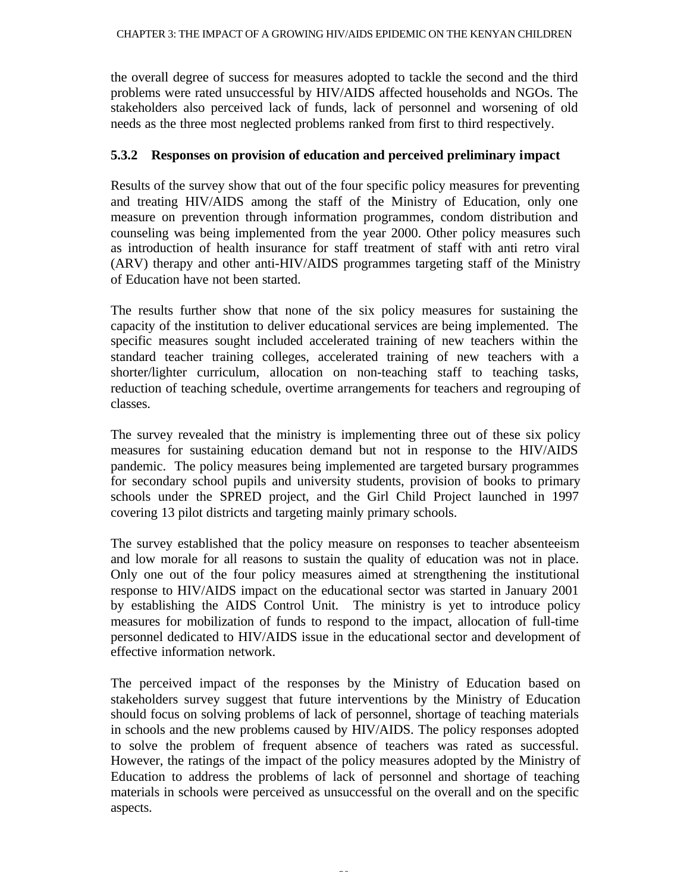the overall degree of success for measures adopted to tackle the second and the third problems were rated unsuccessful by HIV/AIDS affected households and NGOs. The stakeholders also perceived lack of funds, lack of personnel and worsening of old needs as the three most neglected problems ranked from first to third respectively.

#### **5.3.2 Responses on provision of education and perceived preliminary impact**

Results of the survey show that out of the four specific policy measures for preventing and treating HIV/AIDS among the staff of the Ministry of Education, only one measure on prevention through information programmes, condom distribution and counseling was being implemented from the year 2000. Other policy measures such as introduction of health insurance for staff treatment of staff with anti retro viral (ARV) therapy and other anti-HIV/AIDS programmes targeting staff of the Ministry of Education have not been started.

The results further show that none of the six policy measures for sustaining the capacity of the institution to deliver educational services are being implemented. The specific measures sought included accelerated training of new teachers within the standard teacher training colleges, accelerated training of new teachers with a shorter/lighter curriculum, allocation on non-teaching staff to teaching tasks, reduction of teaching schedule, overtime arrangements for teachers and regrouping of classes.

The survey revealed that the ministry is implementing three out of these six policy measures for sustaining education demand but not in response to the HIV/AIDS pandemic. The policy measures being implemented are targeted bursary programmes for secondary school pupils and university students, provision of books to primary schools under the SPRED project, and the Girl Child Project launched in 1997 covering 13 pilot districts and targeting mainly primary schools.

The survey established that the policy measure on responses to teacher absenteeism and low morale for all reasons to sustain the quality of education was not in place. Only one out of the four policy measures aimed at strengthening the institutional response to HIV/AIDS impact on the educational sector was started in January 2001 by establishing the AIDS Control Unit. The ministry is yet to introduce policy measures for mobilization of funds to respond to the impact, allocation of full-time personnel dedicated to HIV/AIDS issue in the educational sector and development of effective information network.

The perceived impact of the responses by the Ministry of Education based on stakeholders survey suggest that future interventions by the Ministry of Education should focus on solving problems of lack of personnel, shortage of teaching materials in schools and the new problems caused by HIV/AIDS. The policy responses adopted to solve the problem of frequent absence of teachers was rated as successful. However, the ratings of the impact of the policy measures adopted by the Ministry of Education to address the problems of lack of personnel and shortage of teaching materials in schools were perceived as unsuccessful on the overall and on the specific aspects.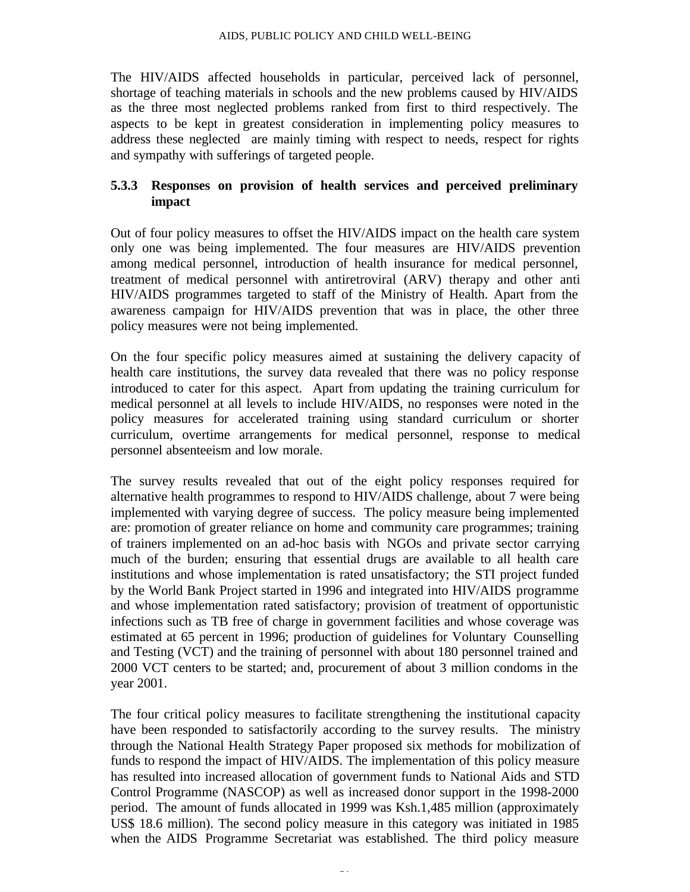The HIV/AIDS affected households in particular, perceived lack of personnel, shortage of teaching materials in schools and the new problems caused by HIV/AIDS as the three most neglected problems ranked from first to third respectively. The aspects to be kept in greatest consideration in implementing policy measures to address these neglected are mainly timing with respect to needs, respect for rights and sympathy with sufferings of targeted people.

## **5.3.3 Responses on provision of health services and perceived preliminary impact**

Out of four policy measures to offset the HIV/AIDS impact on the health care system only one was being implemented. The four measures are HIV/AIDS prevention among medical personnel, introduction of health insurance for medical personnel, treatment of medical personnel with antiretroviral (ARV) therapy and other anti HIV/AIDS programmes targeted to staff of the Ministry of Health. Apart from the awareness campaign for HIV/AIDS prevention that was in place, the other three policy measures were not being implemented.

On the four specific policy measures aimed at sustaining the delivery capacity of health care institutions, the survey data revealed that there was no policy response introduced to cater for this aspect. Apart from updating the training curriculum for medical personnel at all levels to include HIV/AIDS, no responses were noted in the policy measures for accelerated training using standard curriculum or shorter curriculum, overtime arrangements for medical personnel, response to medical personnel absenteeism and low morale.

The survey results revealed that out of the eight policy responses required for alternative health programmes to respond to HIV/AIDS challenge, about 7 were being implemented with varying degree of success. The policy measure being implemented are: promotion of greater reliance on home and community care programmes; training of trainers implemented on an ad-hoc basis with NGOs and private sector carrying much of the burden; ensuring that essential drugs are available to all health care institutions and whose implementation is rated unsatisfactory; the STI project funded by the World Bank Project started in 1996 and integrated into HIV/AIDS programme and whose implementation rated satisfactory; provision of treatment of opportunistic infections such as TB free of charge in government facilities and whose coverage was estimated at 65 percent in 1996; production of guidelines for Voluntary Counselling and Testing (VCT) and the training of personnel with about 180 personnel trained and 2000 VCT centers to be started; and, procurement of about 3 million condoms in the year 2001.

The four critical policy measures to facilitate strengthening the institutional capacity have been responded to satisfactorily according to the survey results. The ministry through the National Health Strategy Paper proposed six methods for mobilization of funds to respond the impact of HIV/AIDS. The implementation of this policy measure has resulted into increased allocation of government funds to National Aids and STD Control Programme (NASCOP) as well as increased donor support in the 1998-2000 period. The amount of funds allocated in 1999 was Ksh.1,485 million (approximately US\$ 18.6 million). The second policy measure in this category was initiated in 1985 when the AIDS Programme Secretariat was established. The third policy measure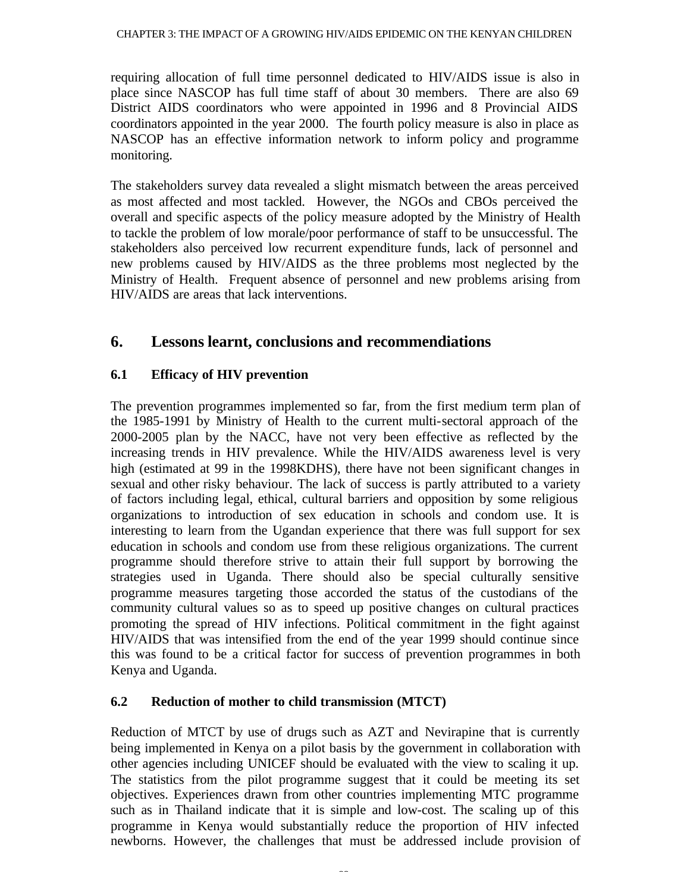#### CHAPTER 3: THE IMPACT OF A GROWING HIV/AIDS EPIDEMIC ON THE KENYAN CHILDREN

requiring allocation of full time personnel dedicated to HIV/AIDS issue is also in place since NASCOP has full time staff of about 30 members. There are also 69 District AIDS coordinators who were appointed in 1996 and 8 Provincial AIDS coordinators appointed in the year 2000. The fourth policy measure is also in place as NASCOP has an effective information network to inform policy and programme monitoring.

The stakeholders survey data revealed a slight mismatch between the areas perceived as most affected and most tackled. However, the NGOs and CBOs perceived the overall and specific aspects of the policy measure adopted by the Ministry of Health to tackle the problem of low morale/poor performance of staff to be unsuccessful. The stakeholders also perceived low recurrent expenditure funds, lack of personnel and new problems caused by HIV/AIDS as the three problems most neglected by the Ministry of Health. Frequent absence of personnel and new problems arising from HIV/AIDS are areas that lack interventions.

# **6. Lessons learnt, conclusions and recommendiations**

## **6.1 Efficacy of HIV prevention**

The prevention programmes implemented so far, from the first medium term plan of the 1985-1991 by Ministry of Health to the current multi-sectoral approach of the 2000-2005 plan by the NACC, have not very been effective as reflected by the increasing trends in HIV prevalence. While the HIV/AIDS awareness level is very high (estimated at 99 in the 1998KDHS), there have not been significant changes in sexual and other risky behaviour. The lack of success is partly attributed to a variety of factors including legal, ethical, cultural barriers and opposition by some religious organizations to introduction of sex education in schools and condom use. It is interesting to learn from the Ugandan experience that there was full support for sex education in schools and condom use from these religious organizations. The current programme should therefore strive to attain their full support by borrowing the strategies used in Uganda. There should also be special culturally sensitive programme measures targeting those accorded the status of the custodians of the community cultural values so as to speed up positive changes on cultural practices promoting the spread of HIV infections. Political commitment in the fight against HIV/AIDS that was intensified from the end of the year 1999 should continue since this was found to be a critical factor for success of prevention programmes in both Kenya and Uganda.

## **6.2 Reduction of mother to child transmission (MTCT)**

Reduction of MTCT by use of drugs such as AZT and Nevirapine that is currently being implemented in Kenya on a pilot basis by the government in collaboration with other agencies including UNICEF should be evaluated with the view to scaling it up. The statistics from the pilot programme suggest that it could be meeting its set objectives. Experiences drawn from other countries implementing MTC programme such as in Thailand indicate that it is simple and low-cost. The scaling up of this programme in Kenya would substantially reduce the proportion of HIV infected newborns. However, the challenges that must be addressed include provision of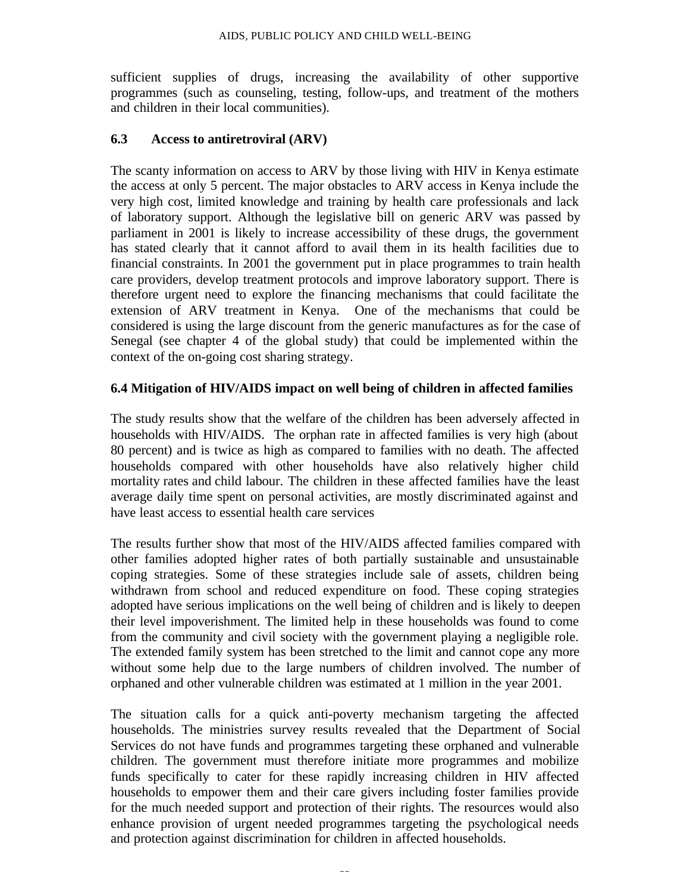sufficient supplies of drugs, increasing the availability of other supportive programmes (such as counseling, testing, follow-ups, and treatment of the mothers and children in their local communities).

#### **6.3 Access to antiretroviral (ARV)**

The scanty information on access to ARV by those living with HIV in Kenya estimate the access at only 5 percent. The major obstacles to ARV access in Kenya include the very high cost, limited knowledge and training by health care professionals and lack of laboratory support. Although the legislative bill on generic ARV was passed by parliament in 2001 is likely to increase accessibility of these drugs, the government has stated clearly that it cannot afford to avail them in its health facilities due to financial constraints. In 2001 the government put in place programmes to train health care providers, develop treatment protocols and improve laboratory support. There is therefore urgent need to explore the financing mechanisms that could facilitate the extension of ARV treatment in Kenya. One of the mechanisms that could be considered is using the large discount from the generic manufactures as for the case of Senegal (see chapter 4 of the global study) that could be implemented within the context of the on-going cost sharing strategy.

#### **6.4 Mitigation of HIV/AIDS impact on well being of children in affected families**

The study results show that the welfare of the children has been adversely affected in households with HIV/AIDS. The orphan rate in affected families is very high (about 80 percent) and is twice as high as compared to families with no death. The affected households compared with other households have also relatively higher child mortality rates and child labour. The children in these affected families have the least average daily time spent on personal activities, are mostly discriminated against and have least access to essential health care services

The results further show that most of the HIV/AIDS affected families compared with other families adopted higher rates of both partially sustainable and unsustainable coping strategies. Some of these strategies include sale of assets, children being withdrawn from school and reduced expenditure on food. These coping strategies adopted have serious implications on the well being of children and is likely to deepen their level impoverishment. The limited help in these households was found to come from the community and civil society with the government playing a negligible role. The extended family system has been stretched to the limit and cannot cope any more without some help due to the large numbers of children involved. The number of orphaned and other vulnerable children was estimated at 1 million in the year 2001.

The situation calls for a quick anti-poverty mechanism targeting the affected households. The ministries survey results revealed that the Department of Social Services do not have funds and programmes targeting these orphaned and vulnerable children. The government must therefore initiate more programmes and mobilize funds specifically to cater for these rapidly increasing children in HIV affected households to empower them and their care givers including foster families provide for the much needed support and protection of their rights. The resources would also enhance provision of urgent needed programmes targeting the psychological needs and protection against discrimination for children in affected households.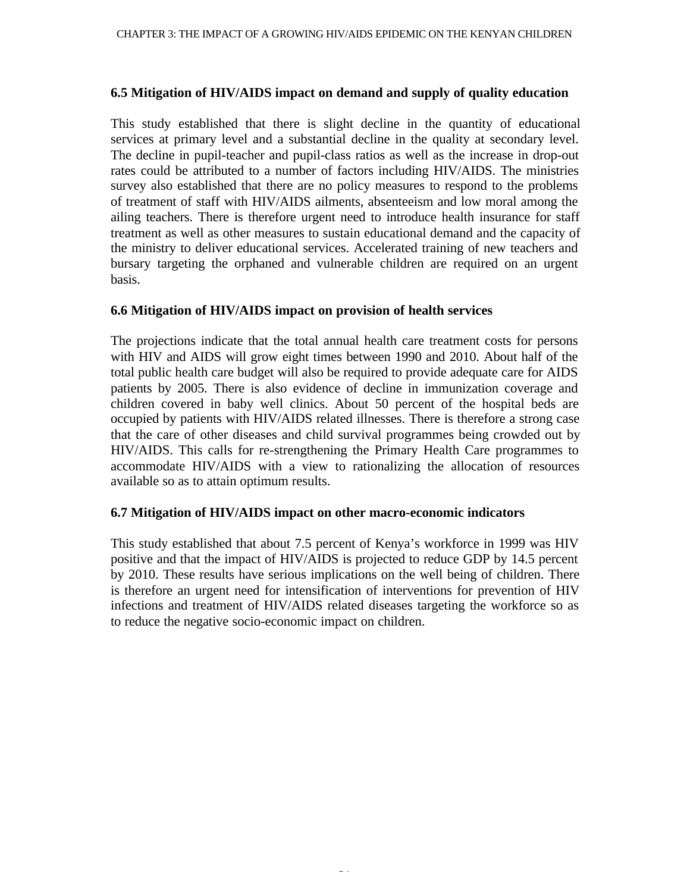#### **6.5 Mitigation of HIV/AIDS impact on demand and supply of quality education**

This study established that there is slight decline in the quantity of educational services at primary level and a substantial decline in the quality at secondary level. The decline in pupil-teacher and pupil-class ratios as well as the increase in drop-out rates could be attributed to a number of factors including HIV/AIDS. The ministries survey also established that there are no policy measures to respond to the problems of treatment of staff with HIV/AIDS ailments, absenteeism and low moral among the ailing teachers. There is therefore urgent need to introduce health insurance for staff treatment as well as other measures to sustain educational demand and the capacity of the ministry to deliver educational services. Accelerated training of new teachers and bursary targeting the orphaned and vulnerable children are required on an urgent basis.

#### **6.6 Mitigation of HIV/AIDS impact on provision of health services**

The projections indicate that the total annual health care treatment costs for persons with HIV and AIDS will grow eight times between 1990 and 2010. About half of the total public health care budget will also be required to provide adequate care for AIDS patients by 2005. There is also evidence of decline in immunization coverage and children covered in baby well clinics. About 50 percent of the hospital beds are occupied by patients with HIV/AIDS related illnesses. There is therefore a strong case that the care of other diseases and child survival programmes being crowded out by HIV/AIDS. This calls for re-strengthening the Primary Health Care programmes to accommodate HIV/AIDS with a view to rationalizing the allocation of resources available so as to attain optimum results.

#### **6.7 Mitigation of HIV/AIDS impact on other macro-economic indicators**

This study established that about 7.5 percent of Kenya's workforce in 1999 was HIV positive and that the impact of HIV/AIDS is projected to reduce GDP by 14.5 percent by 2010. These results have serious implications on the well being of children. There is therefore an urgent need for intensification of interventions for prevention of HIV infections and treatment of HIV/AIDS related diseases targeting the workforce so as to reduce the negative socio-economic impact on children.

24